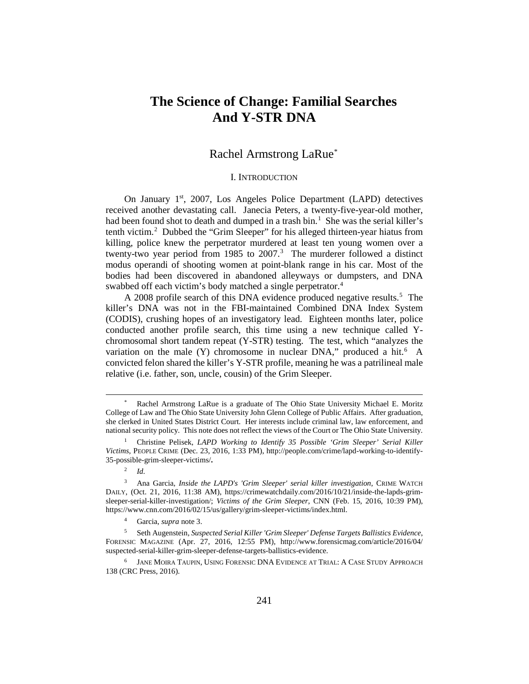# **The Science of Change: Familial Searches And Y-STR DNA**

# Rachel Armstrong LaRue[\\*](#page-0-0)

### I. INTRODUCTION

On January 1<sup>st</sup>, 2007, Los Angeles Police Department (LAPD) detectives received another devastating call. Janecia Peters, a twenty-five-year-old mother, had been found shot to death and dumped in a trash bin.<sup>[1](#page-0-1)</sup> She was the serial killer's tenth victim.[2](#page-0-2) Dubbed the "Grim Sleeper" for his alleged thirteen-year hiatus from killing, police knew the perpetrator murdered at least ten young women over a twenty-two year period from 1985 to  $2007<sup>3</sup>$ . The murderer followed a distinct modus operandi of shooting women at point-blank range in his car. Most of the bodies had been discovered in abandoned alleyways or dumpsters, and DNA swabbed off each victim's body matched a single perpetrator.<sup>[4](#page-0-4)</sup>

A 2008 profile search of this DNA evidence produced negative results.<sup>5</sup> The killer's DNA was not in the FBI-maintained Combined DNA Index System (CODIS), crushing hopes of an investigatory lead. Eighteen months later, police conducted another profile search, this time using a new technique called Ychromosomal short tandem repeat (Y-STR) testing. The test, which "analyzes the variation on the male (Y) chromosome in nuclear DNA," produced a hit.<sup>[6](#page-0-6)</sup> A convicted felon shared the killer's Y-STR profile, meaning he was a patrilineal male relative (i.e. father, son, uncle, cousin) of the Grim Sleeper.

l

<span id="page-0-0"></span>Rachel Armstrong LaRue is a graduate of The Ohio State University Michael E. Moritz College of Law and The Ohio State University John Glenn College of Public Affairs. After graduation, she clerked in United States District Court. Her interests include criminal law, law enforcement, and national security policy. This note does not reflect the views of the Court or The Ohio State University.

<span id="page-0-1"></span><sup>1</sup> Christine Pelisek, *LAPD Working to Identify 35 Possible 'Grim Sleeper' Serial Killer Victims*, PEOPLE CRIME (Dec. 23, 2016, 1:33 PM), http://people.com/crime/lapd-working-to-identify-35-possible-grim-sleeper-victims/**.** 

<sup>2</sup> *Id.* 

<span id="page-0-3"></span><span id="page-0-2"></span><sup>&</sup>lt;sup>3</sup> Ana Garcia, *Inside the LAPD's 'Grim Sleeper' serial killer investigation*, CRIME WATCH DAILY, (Oct. 21, 2016, 11:38 AM), [https://crimewatchdaily.com/2016/10/21/inside-the-lapds-grim](https://crimewatchdaily.com/2016/10/21/inside-the-lapds-grim-sleeper-serial-killer-investigation/)[sleeper-serial-killer-investigation/;](https://crimewatchdaily.com/2016/10/21/inside-the-lapds-grim-sleeper-serial-killer-investigation/) *Victims of the Grim Sleeper*, CNN (Feb. 15, 2016, 10:39 PM), https://www.cnn.com/2016/02/15/us/gallery/grim-sleeper-victims/index.html.

<sup>4</sup> Garcia, *supra* note 3.

<span id="page-0-5"></span><span id="page-0-4"></span><sup>5</sup> Seth Augenstein, *Suspected Serial Killer 'Grim Sleeper' Defense Targets Ballistics Evidence*, FORENSIC MAGAZINE (Apr. 27, 2016, 12:55 PM), http://www.forensicmag.com/article/2016/04/ suspected-serial-killer-grim-sleeper-defense-targets-ballistics-evidence.

<span id="page-0-6"></span>JANE MOIRA TAUPIN, USING FORENSIC DNA EVIDENCE AT TRIAL: A CASE STUDY APPROACH 138 (CRC Press, 2016).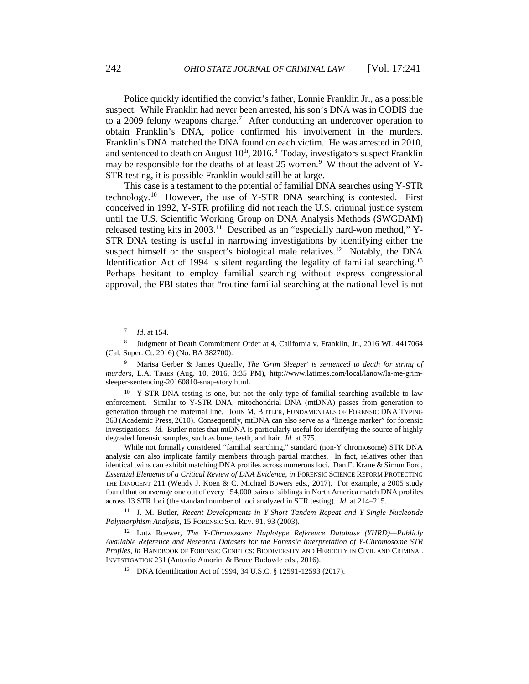Police quickly identified the convict's father, Lonnie Franklin Jr., as a possible suspect. While Franklin had never been arrested, his son's DNA was in CODIS due to a 2009 felony weapons charge. [7](#page-1-0) After conducting an undercover operation to obtain Franklin's DNA, police confirmed his involvement in the murders. Franklin's DNA matched the DNA found on each victim. He was arrested in 2010, and sentenced to death on August  $10^{th}$ ,  $2016$ .<sup>[8](#page-1-1)</sup> Today, investigators suspect Franklin may be responsible for the deaths of at least  $25$  women.<sup>[9](#page-1-2)</sup> Without the advent of Y-STR testing, it is possible Franklin would still be at large.

This case is a testament to the potential of familial DNA searches using Y-STR technology. [10](#page-1-3) However, the use of Y-STR DNA searching is contested. First conceived in 1992, Y-STR profiling did not reach the U.S. criminal justice system until the U.S. Scientific Working Group on DNA Analysis Methods (SWGDAM) released testing kits in 2003.<sup>[11](#page-1-4)</sup> Described as an "especially hard-won method," Y-STR DNA testing is useful in narrowing investigations by identifying either the suspect himself or the suspect's biological male relatives.<sup>[12](#page-1-5)</sup> Notably, the DNA Identification Act of 1994 is silent regarding the legality of familial searching.<sup>[13](#page-1-6)</sup> Perhaps hesitant to employ familial searching without express congressional approval, the FBI states that "routine familial searching at the national level is not

 $\overline{a}$ 

<span id="page-1-3"></span><sup>10</sup> Y-STR DNA testing is one, but not the only type of familial searching available to law enforcement. Similar to Y-STR DNA, mitochondrial DNA (mtDNA) passes from generation to generation through the maternal line. JOHN M. BUTLER, FUNDAMENTALS OF FORENSIC DNA TYPING 363 (Academic Press, 2010). Consequently, mtDNA can also serve as a "lineage marker" for forensic investigations. *Id.* Butler notes that mtDNA is particularly useful for identifying the source of highly degraded forensic samples, such as bone, teeth, and hair. *Id.* at 375.

While not formally considered "familial searching," standard (non-Y chromosome) STR DNA analysis can also implicate family members through partial matches. In fact, relatives other than identical twins can exhibit matching DNA profiles across numerous loci. Dan E. Krane & Simon Ford, *Essential Elements of a Critical Review of DNA Evidence*, *in* FORENSIC SCIENCE REFORM PROTECTING THE INNOCENT 211 (Wendy J. Koen & C. Michael Bowers eds., 2017). For example, a 2005 study found that on average one out of every 154,000 pairs of siblings in North America match DNA profiles across 13 STR loci (the standard number of loci analyzed in STR testing). *Id.* at 214–215.

<span id="page-1-4"></span><sup>11</sup> J. M. Butler, *Recent Developments in Y-Short Tandem Repeat and Y-Single Nucleotide Polymorphism Analysis*, 15 FORENSIC SCI. REV. 91, 93 (2003).

<span id="page-1-6"></span><span id="page-1-5"></span><sup>12</sup> Lutz Roewer, *The Y-Chromosome Haplotype Reference Database (YHRD)—Publicly Available Reference and Research Datasets for the Forensic Interpretation of Y-Chromosome STR Profiles*, *in* HANDBOOK OF FORENSIC GENETICS: BIODIVERSITY AND HEREDITY IN CIVIL AND CRIMINAL INVESTIGATION 231 (Antonio Amorim & Bruce Budowle eds., 2016).

<sup>13</sup> DNA Identification Act of 1994, 34 U.S.C. § 12591-12593 (2017).

<sup>7</sup> *Id.* at 154.

<span id="page-1-1"></span><span id="page-1-0"></span><sup>8</sup> Judgment of Death Commitment Order at 4, California v. Franklin, Jr., 2016 WL 4417064 (Cal. Super. Ct. 2016) (No. BA 382700).

<span id="page-1-2"></span><sup>9</sup> Marisa Gerber & James Queally, *The 'Grim Sleeper' is sentenced to death for string of murders*, L.A. TIMES (Aug. 10, 2016, 3:35 PM), http://www.latimes.com/local/lanow/la-me-grimsleeper-sentencing-20160810-snap-story.html.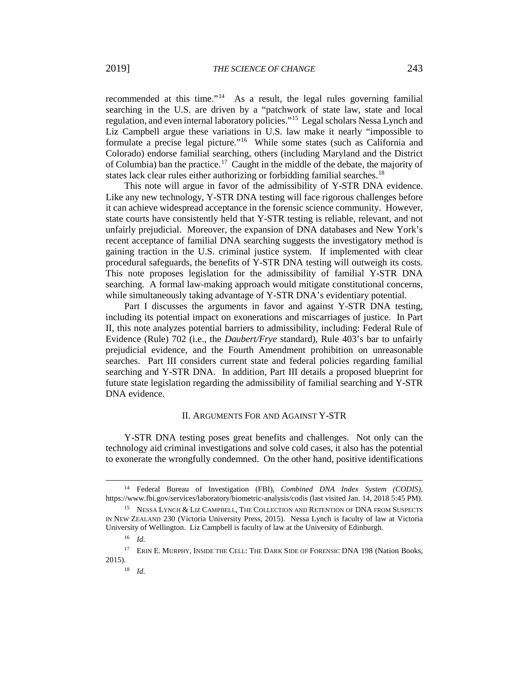recommended at this time."[14](#page-2-0) As a result, the legal rules governing familial searching in the U.S. are driven by a "patchwork of state law, state and local regulation, and even internal laboratory policies."[15](#page-2-1) Legal scholars Nessa Lynch and Liz Campbell argue these variations in U.S. law make it nearly "impossible to formulate a precise legal picture."[16](#page-2-2) While some states (such as California and Colorado) endorse familial searching, others (including Maryland and the District of Columbia) ban the practice.<sup>[17](#page-2-3)</sup> Caught in the middle of the debate, the majority of states lack clear rules either authorizing or forbidding familial searches.<sup>[18](#page-2-4)</sup>

This note will argue in favor of the admissibility of Y-STR DNA evidence. Like any new technology, Y-STR DNA testing will face rigorous challenges before it can achieve widespread acceptance in the forensic science community. However, state courts have consistently held that Y-STR testing is reliable, relevant, and not unfairly prejudicial. Moreover, the expansion of DNA databases and New York's recent acceptance of familial DNA searching suggests the investigatory method is gaining traction in the U.S. criminal justice system. If implemented with clear procedural safeguards, the benefits of Y-STR DNA testing will outweigh its costs. This note proposes legislation for the admissibility of familial Y-STR DNA searching. A formal law-making approach would mitigate constitutional concerns, while simultaneously taking advantage of Y-STR DNA's evidentiary potential.

Part I discusses the arguments in favor and against Y-STR DNA testing, including its potential impact on exonerations and miscarriages of justice. In Part II, this note analyzes potential barriers to admissibility, including: Federal Rule of Evidence (Rule) 702 (i.e., the *Daubert/Frye* standard), Rule 403's bar to unfairly prejudicial evidence, and the Fourth Amendment prohibition on unreasonable searches. Part III considers current state and federal policies regarding familial searching and Y-STR DNA. In addition, Part III details a proposed blueprint for future state legislation regarding the admissibility of familial searching and Y-STR DNA evidence.

#### II. ARGUMENTS FOR AND AGAINST Y-STR

Y-STR DNA testing poses great benefits and challenges. Not only can the technology aid criminal investigations and solve cold cases, it also has the potential to exonerate the wrongfully condemned. On the other hand, positive identifications

 $\overline{a}$ 

<sup>18</sup> *Id.*

<span id="page-2-0"></span><sup>14</sup> Federal Bureau of Investigation (FBI), *Combined DNA Index System (CODIS)*, https://www.fbi.gov/services/laboratory/biometric-analysis/codis (last visited Jan. 14, 2018 5:45 PM).

<span id="page-2-1"></span><sup>&</sup>lt;sup>15</sup> NESSA LYNCH & LIZ CAMPBELL, THE COLLECTION AND RETENTION OF DNA FROM SUSPECTS IN NEW ZEALAND 230 (Victoria University Press, 2015). Nessa Lynch is faculty of law at Victoria University of Wellington. Liz Campbell is faculty of law at the University of Edinburgh.

<sup>16</sup> *Id.*

<span id="page-2-4"></span><span id="page-2-3"></span><span id="page-2-2"></span><sup>17</sup> ERIN E. MURPHY, INSIDE THE CELL: THE DARK SIDE OF FORENSIC DNA 198 (Nation Books, 2015).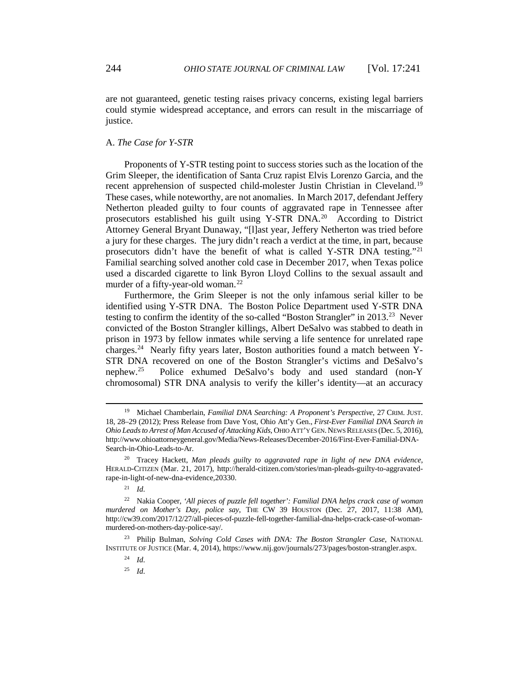are not guaranteed, genetic testing raises privacy concerns, existing legal barriers could stymie widespread acceptance, and errors can result in the miscarriage of justice.

# A. *The Case for Y-STR*

Proponents of Y-STR testing point to success stories such as the location of the Grim Sleeper, the identification of Santa Cruz rapist Elvis Lorenzo Garcia, and the recent apprehension of suspected child-molester Justin Christian in Cleveland.<sup>[19](#page-3-0)</sup> These cases, while noteworthy, are not anomalies. In March 2017, defendant Jeffery Netherton pleaded guilty to four counts of aggravated rape in Tennessee after prosecutors established his guilt using Y-STR DNA.[20](#page-3-1) According to District Attorney General Bryant Dunaway, "[l]ast year, Jeffery Netherton was tried before a jury for these charges. The jury didn't reach a verdict at the time, in part, because prosecutors didn't have the benefit of what is called Y-STR DNA testing."<sup>[21](#page-3-2)</sup> Familial searching solved another cold case in December 2017, when Texas police used a discarded cigarette to link Byron Lloyd Collins to the sexual assault and murder of a fifty-year-old woman.<sup>[22](#page-3-3)</sup>

Furthermore, the Grim Sleeper is not the only infamous serial killer to be identified using Y-STR DNA. The Boston Police Department used Y-STR DNA testing to confirm the identity of the so-called "Boston Strangler" in 2013.[23](#page-3-4) Never convicted of the Boston Strangler killings, Albert DeSalvo was stabbed to death in prison in 1973 by fellow inmates while serving a life sentence for unrelated rape charges.[24](#page-3-5) Nearly fifty years later, Boston authorities found a match between Y-STR DNA recovered on one of the Boston Strangler's victims and DeSalvo's nephew.[25](#page-3-6) Police exhumed DeSalvo's body and used standard (non-Y chromosomal) STR DNA analysis to verify the killer's identity—at an accuracy

 $\overline{a}$ 

<span id="page-3-6"></span><span id="page-3-5"></span><span id="page-3-4"></span><sup>23</sup> Philip Bulman, *Solving Cold Cases with DNA: The Boston Strangler Case*, NATIONAL INSTITUTE OF JUSTICE (Mar. 4, 2014), https://www.nij.gov/journals/273/pages/boston-strangler.aspx.

<span id="page-3-0"></span><sup>19</sup> Michael Chamberlain, *Familial DNA Searching: A Proponent's Perspective*, 27 CRIM. JUST. 18, 28–29 (2012); Press Release from Dave Yost, Ohio Att'y Gen., *First-Ever Familial DNA Search in Ohio Leads to Arrest of Man Accused of Attacking Kids*, OHIO ATT'Y GEN.NEWS RELEASES (Dec. 5, 2016), http://www.ohioattorneygeneral.gov/Media/News-Releases/December-2016/First-Ever-Familial-DNA-Search-in-Ohio-Leads-to-Ar.

<span id="page-3-1"></span><sup>20</sup> Tracey Hackett, *Man pleads guilty to aggravated rape in light of new DNA evidence*, HERALD-CITIZEN (Mar. 21, 2017), http://herald-citizen.com/stories/man-pleads-guilty-to-aggravatedrape-in-light-of-new-dna-evidence,20330.

<sup>21</sup> *Id.*

<span id="page-3-3"></span><span id="page-3-2"></span><sup>22</sup> Nakia Cooper, *'All pieces of puzzle fell together': Familial DNA helps crack case of woman murdered on Mother's Day, police say*, THE CW 39 HOUSTON (Dec. 27, 2017, 11:38 AM), http://cw39.com/2017/12/27/all-pieces-of-puzzle-fell-together-familial-dna-helps-crack-case-of-womanmurdered-on-mothers-day-police-say/.

<sup>24</sup> *Id.*

<sup>25</sup> *Id.*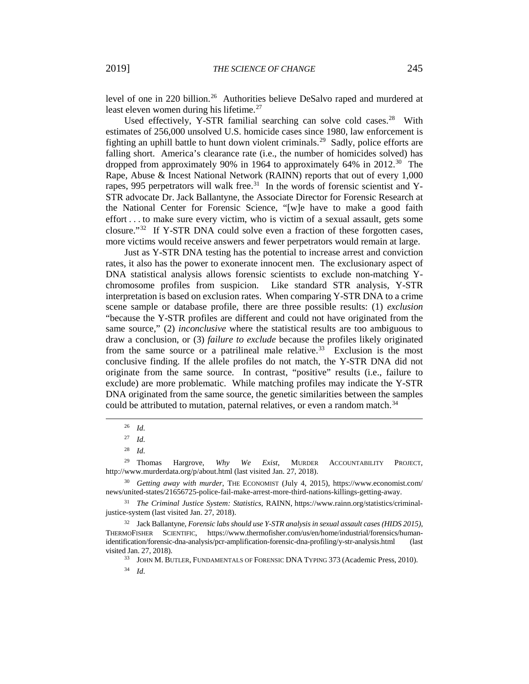level of one in 220 billion.<sup>[26](#page-4-0)</sup> Authorities believe DeSalvo raped and murdered at least eleven women during his lifetime.<sup>[27](#page-4-1)</sup>

Used effectively, Y-STR familial searching can solve cold cases.<sup>[28](#page-4-2)</sup> With estimates of 256,000 unsolved U.S. homicide cases since 1980, law enforcement is fighting an uphill battle to hunt down violent criminals.[29](#page-4-3) Sadly, police efforts are falling short. America's clearance rate (i.e., the number of homicides solved) has dropped from approximately 90% in 1964 to approximately 64% in 2012.<sup>[30](#page-4-4)</sup> The Rape, Abuse & Incest National Network (RAINN) reports that out of every 1,000 rapes, 995 perpetrators will walk free.<sup>[31](#page-4-5)</sup> In the words of forensic scientist and Y-STR advocate Dr. Jack Ballantyne, the Associate Director for Forensic Research at the National Center for Forensic Science, "[w]e have to make a good faith effort . . . to make sure every victim, who is victim of a sexual assault, gets some closure."[32](#page-4-6) If Y-STR DNA could solve even a fraction of these forgotten cases, more victims would receive answers and fewer perpetrators would remain at large.

Just as Y-STR DNA testing has the potential to increase arrest and conviction rates, it also has the power to exonerate innocent men. The exclusionary aspect of DNA statistical analysis allows forensic scientists to exclude non-matching Ychromosome profiles from suspicion. Like standard STR analysis, Y-STR interpretation is based on exclusion rates. When comparing Y-STR DNA to a crime scene sample or database profile, there are three possible results: (1) *exclusion* "because the Y-STR profiles are different and could not have originated from the same source," (2) *inconclusive* where the statistical results are too ambiguous to draw a conclusion, or (3) *failure to exclude* because the profiles likely originated from the same source or a patrilineal male relative.<sup>[33](#page-4-7)</sup> Exclusion is the most conclusive finding. If the allele profiles do not match, the Y-STR DNA did not originate from the same source. In contrast, "positive" results (i.e., failure to exclude) are more problematic. While matching profiles may indicate the Y-STR DNA originated from the same source, the genetic similarities between the samples could be attributed to mutation, paternal relatives, or even a random match.<sup>[34](#page-4-8)</sup>

<span id="page-4-0"></span> $\overline{a}$ 

<span id="page-4-3"></span><span id="page-4-2"></span><span id="page-4-1"></span><sup>29</sup> Thomas Hargrove, *Why We Exist*, MURDER ACCOUNTABILITY PROJECT, http://www.murderdata.org/p/about.html (last visited Jan. 27, 2018).

<sup>26</sup> *Id.*

<sup>27</sup> *Id.* 

<sup>28</sup> *Id.*

<span id="page-4-4"></span><sup>30</sup> *Getting away with murder*, THE ECONOMIST (July 4, 2015), https://www.economist.com/ news/united-states/21656725-police-fail-make-arrest-more-third-nations-killings-getting-away.

<span id="page-4-5"></span><sup>31</sup> *The Criminal Justice System: Statistics*, RAINN, https://www.rainn.org/statistics/criminaljustice-system (last visited Jan. 27, 2018).

<span id="page-4-8"></span><span id="page-4-7"></span><span id="page-4-6"></span><sup>32</sup> Jack Ballantyne, *Forensic labs should use Y-STR analysis in sexual assault cases (HIDS 2015)*, THERMOFISHER SCIENTIFIC, https://www.thermofisher.com/us/en/home/industrial/forensics/humanidentification/forensic-dna-analysis/pcr-amplification-forensic-dna-profiling/y-str-analysis.html (last visited Jan. 27, 2018).

<sup>33</sup> JOHN M. BUTLER, FUNDAMENTALS OF FORENSIC DNA TYPING 373 (Academic Press, 2010).

<sup>34</sup> *Id.*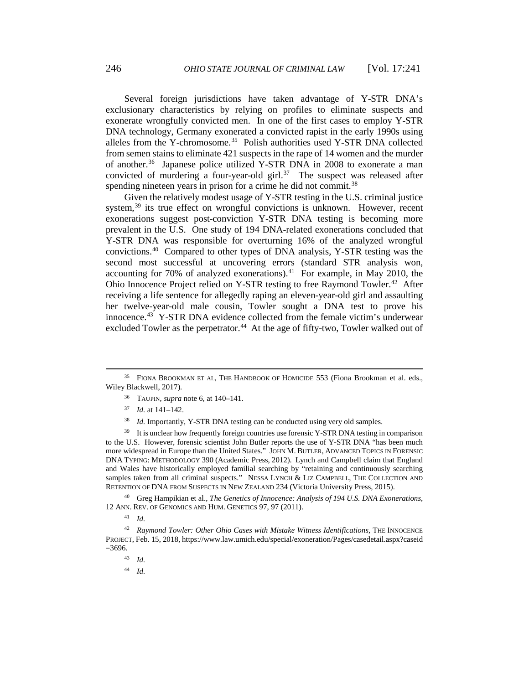Several foreign jurisdictions have taken advantage of Y-STR DNA's exclusionary characteristics by relying on profiles to eliminate suspects and exonerate wrongfully convicted men. In one of the first cases to employ Y-STR DNA technology, Germany exonerated a convicted rapist in the early 1990s using alleles from the Y-chromosome.<sup>[35](#page-5-0)</sup> Polish authorities used Y-STR DNA collected from semen stains to eliminate 421 suspects in the rape of 14 women and the murder of another.<sup>[36](#page-5-1)</sup> Japanese police utilized Y-STR DNA in 2008 to exonerate a man convicted of murdering a four-year-old girl. $37$  The suspect was released after spending nineteen years in prison for a crime he did not commit.<sup>[38](#page-5-3)</sup>

Given the relatively modest usage of Y-STR testing in the U.S. criminal justice system, $39$  its true effect on wrongful convictions is unknown. However, recent exonerations suggest post-conviction Y-STR DNA testing is becoming more prevalent in the U.S. One study of 194 DNA-related exonerations concluded that Y-STR DNA was responsible for overturning 16% of the analyzed wrongful convictions[.40](#page-5-5) Compared to other types of DNA analysis, Y-STR testing was the second most successful at uncovering errors (standard STR analysis won, accounting for 70% of analyzed exonerations). $41$  For example, in May 2010, the Ohio Innocence Project relied on Y-STR testing to free Raymond Towler.<sup>[42](#page-5-7)</sup> After receiving a life sentence for allegedly raping an eleven-year-old girl and assaulting her twelve-year-old male cousin, Towler sought a DNA test to prove his innocence.[43](#page-5-8) Y-STR DNA evidence collected from the female victim's underwear excluded Towler as the perpetrator.<sup>[44](#page-5-9)</sup> At the age of fifty-two, Towler walked out of

- <sup>36</sup> TAUPIN, *supra* note 6, at 140–141.
- <sup>37</sup> *Id.* at 141–142.

 $\overline{a}$ 

<sup>38</sup> *Id.* Importantly, Y-STR DNA testing can be conducted using very old samples.

<span id="page-5-4"></span><span id="page-5-3"></span><span id="page-5-2"></span> $39$  It is unclear how frequently foreign countries use forensic Y-STR DNA testing in comparison to the U.S. However, forensic scientist John Butler reports the use of Y-STR DNA "has been much more widespread in Europe than the United States." JOHN M. BUTLER, ADVANCED TOPICS IN FORENSIC DNA TYPING: METHODOLOGY 390 (Academic Press, 2012). Lynch and Campbell claim that England and Wales have historically employed familial searching by "retaining and continuously searching samples taken from all criminal suspects." NESSA LYNCH & LIZ CAMPBELL, THE COLLECTION AND RETENTION OF DNA FROM SUSPECTS IN NEW ZEALAND 234 (Victoria University Press, 2015).

<span id="page-5-5"></span><sup>40</sup> Greg Hampikian et al., *The Genetics of Innocence: Analysis of 194 U.S. DNA Exonerations*, 12 ANN. REV. OF GENOMICS AND HUM. GENETICS 97, 97 (2011).

<sup>44</sup> *Id.*

<span id="page-5-1"></span><span id="page-5-0"></span><sup>&</sup>lt;sup>35</sup> FIONA BROOKMAN ET AL, THE HANDBOOK OF HOMICIDE 553 (Fiona Brookman et al. eds., Wiley Blackwell, 2017).

<sup>41</sup> *Id.*

<span id="page-5-9"></span><span id="page-5-8"></span><span id="page-5-7"></span><span id="page-5-6"></span><sup>&</sup>lt;sup>42</sup> Raymond Towler: Other Ohio Cases with Mistake Witness Identifications, THE INNOCENCE PROJECT, Feb. 15, 2018, https://www.law.umich.edu/special/exoneration/Pages/casedetail.aspx?caseid  $=3696.$ 

<sup>43</sup> *Id.*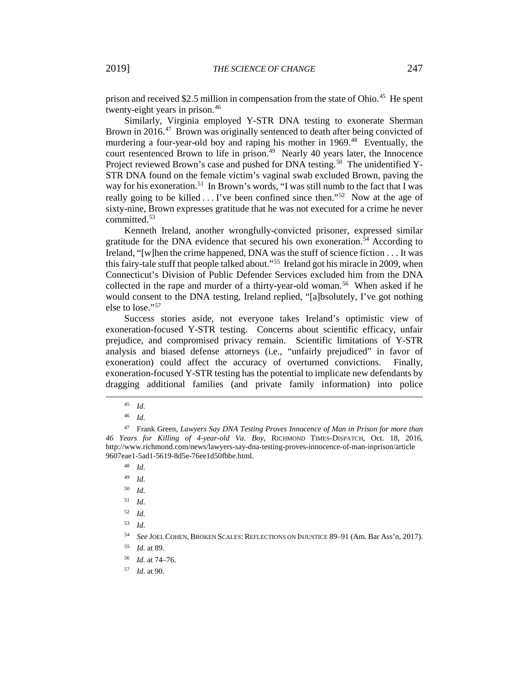prison and received \$2.5 million in compensation from the state of Ohio.<sup>[45](#page-6-0)</sup> He spent twenty-eight years in prison.<sup>[46](#page-6-1)</sup>

Similarly, Virginia employed Y-STR DNA testing to exonerate Sherman Brown in 2016.<sup>47</sup> Brown was originally sentenced to death after being convicted of murdering a four-year-old boy and raping his mother in 1969.<sup>[48](#page-6-3)</sup> Eventually, the court resentenced Brown to life in prison.<sup>[49](#page-6-4)</sup> Nearly 40 years later, the Innocence Project reviewed Brown's case and pushed for DNA testing.<sup>[50](#page-6-5)</sup> The unidentified Y-STR DNA found on the female victim's vaginal swab excluded Brown, paving the way for his exoneration.<sup>[51](#page-6-6)</sup> In Brown's words, "I was still numb to the fact that I was really going to be killed  $\dots$  I've been confined since then."<sup>[52](#page-6-7)</sup> Now at the age of sixty-nine, Brown expresses gratitude that he was not executed for a crime he never committed.[53](#page-6-8)

Kenneth Ireland, another wrongfully-convicted prisoner, expressed similar gratitude for the DNA evidence that secured his own exoneration.<sup>[54](#page-6-9)</sup> According to Ireland, "[w]hen the crime happened, DNA was the stuff of science fiction . . . It was this fairy-tale stuff that people talked about."[55](#page-6-10) Ireland got his miracle in 2009, when Connecticut's Division of Public Defender Services excluded him from the DNA collected in the rape and murder of a thirty-year-old woman.<sup>[56](#page-6-11)</sup> When asked if he would consent to the DNA testing, Ireland replied, "[a]bsolutely, I've got nothing else to lose.["57](#page-6-12)

Success stories aside, not everyone takes Ireland's optimistic view of exoneration-focused Y-STR testing. Concerns about scientific efficacy, unfair prejudice, and compromised privacy remain. Scientific limitations of Y-STR analysis and biased defense attorneys (i.e., "unfairly prejudiced" in favor of exoneration) could affect the accuracy of overturned convictions. Finally, exoneration-focused Y-STR testing has the potential to implicate new defendants by dragging additional families (and private family information) into police

<span id="page-6-0"></span>l

<sup>48</sup> *Id.*

<sup>49</sup> *Id.* 

<sup>50</sup> *Id.*

<span id="page-6-6"></span><sup>51</sup> *Id.*

<span id="page-6-7"></span><sup>52</sup> *Id.*

<span id="page-6-8"></span><sup>53</sup> *Id.*

<sup>54</sup> *See* JOEL COHEN, BROKEN SCALES: REFLECTIONS ON INJUSTICE 89–91 (Am. Bar Ass'n, 2017).

<span id="page-6-11"></span><span id="page-6-10"></span><span id="page-6-9"></span><sup>55</sup> *Id.* at 89.

- <sup>56</sup> *Id.* at 74–76.
- <span id="page-6-12"></span><sup>57</sup> *Id.* at 90.

<sup>45</sup> *Id.*

<sup>46</sup> *Id.* 

<span id="page-6-5"></span><span id="page-6-4"></span><span id="page-6-3"></span><span id="page-6-2"></span><span id="page-6-1"></span><sup>47</sup> Frank Green, *Lawyers Say DNA Testing Proves Innocence of Man in Prison for more than 46 Years for Killing of 4-year-old Va. Boy*, RICHMOND TIMES-DISPATCH, Oct. 18, 2016, http://www.richmond.com/news/lawyers-say-dna-testing-proves-innocence-of-man-inprison/article 9607eae1-5ad1-5619-8d5e-76ee1d50fbbe.html.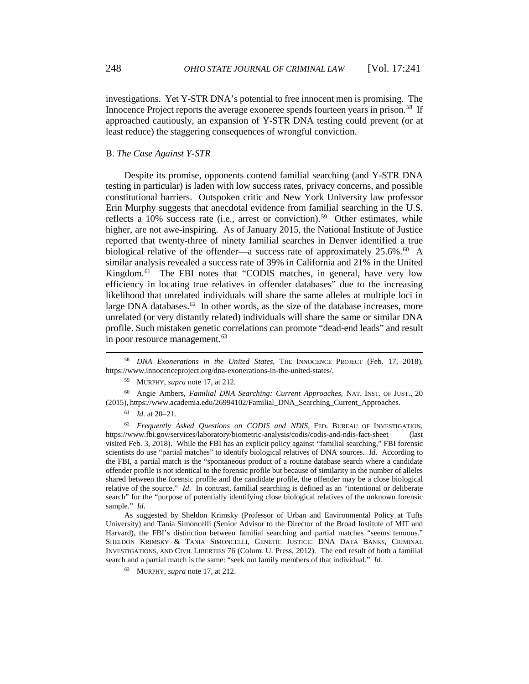investigations. Yet Y-STR DNA's potential to free innocent men is promising. The Innocence Project reports the average exoneree spends fourteen years in prison.[58](#page-7-0) If approached cautiously, an expansion of Y-STR DNA testing could prevent (or at least reduce) the staggering consequences of wrongful conviction.

### B. *The Case Against Y-STR*

Despite its promise, opponents contend familial searching (and Y-STR DNA testing in particular) is laden with low success rates, privacy concerns, and possible constitutional barriers. Outspoken critic and New York University law professor Erin Murphy suggests that anecdotal evidence from familial searching in the U.S. reflects a 10% success rate (i.e., arrest or conviction).<sup>[59](#page-7-1)</sup> Other estimates, while higher, are not awe-inspiring. As of January 2015, the National Institute of Justice reported that twenty-three of ninety familial searches in Denver identified a true biological relative of the offender—a success rate of approximately  $25.6\%$ .<sup>[60](#page-7-2)</sup> A similar analysis revealed a success rate of 39% in California and 21% in the United Kingdom.<sup>[61](#page-7-3)</sup> The FBI notes that "CODIS matches, in general, have very low efficiency in locating true relatives in offender databases" due to the increasing likelihood that unrelated individuals will share the same alleles at multiple loci in large DNA databases.<sup>[62](#page-7-4)</sup> In other words, as the size of the database increases, more unrelated (or very distantly related) individuals will share the same or similar DNA profile. Such mistaken genetic correlations can promote "dead-end leads" and result in poor resource management.<sup>[63](#page-7-5)</sup>

<span id="page-7-2"></span><span id="page-7-1"></span><sup>60</sup> Angie Ambers, *Familial DNA Searching: Current Approaches*, NAT. INST. OF JUST., 20 (2015), https://www.academia.edu/26994102/Familial\_DNA\_Searching\_Current\_Approaches.

 $\overline{a}$ 

<span id="page-7-5"></span>As suggested by Sheldon Krimsky (Professor of Urban and Environmental Policy at Tufts University) and Tania Simoncelli (Senior Advisor to the Director of the Broad Institute of MIT and Harvard), the FBI's distinction between familial searching and partial matches "seems tenuous." SHELDON KRIMSKY & TANIA SIMONCELLI, GENETIC JUSTICE: DNA DATA BANKS, CRIMINAL INVESTIGATIONS, AND CIVIL LIBERTIES 76 (Colum. U. Press, 2012). The end result of both a familial search and a partial match is the same: "seek out family members of that individual." *Id.*

<span id="page-7-0"></span><sup>58</sup> *DNA Exonerations in the United States*, THE INNOCENCE PROJECT (Feb. 17, 2018), https://www.innocenceproject.org/dna-exonerations-in-the-united-states/.

<sup>59</sup> MURPHY, *supra* note 17, at 212.

<sup>61</sup> *Id.* at 20–21.

<span id="page-7-4"></span><span id="page-7-3"></span><sup>62</sup> *Frequently Asked Questions on CODIS and NDIS*, FED. BUREAU OF INVESTIGATION, https://www.fbi.gov/services/laboratory/biometric-analysis/codis/codis-and-ndis-fact-sheet (last visited Feb. 3, 2018). While the FBI has an explicit policy against "familial searching," FBI forensic scientists do use "partial matches" to identify biological relatives of DNA sources. *Id*. According to the FBI, a partial match is the "spontaneous product of a routine database search where a candidate offender profile is not identical to the forensic profile but because of similarity in the number of alleles shared between the forensic profile and the candidate profile, the offender may be a close biological relative of the source." *Id*. In contrast, familial searching is defined as an "intentional or deliberate search" for the "purpose of potentially identifying close biological relatives of the unknown forensic sample." *Id*.

<sup>63</sup> MURPHY, *supra* note 17, at 212.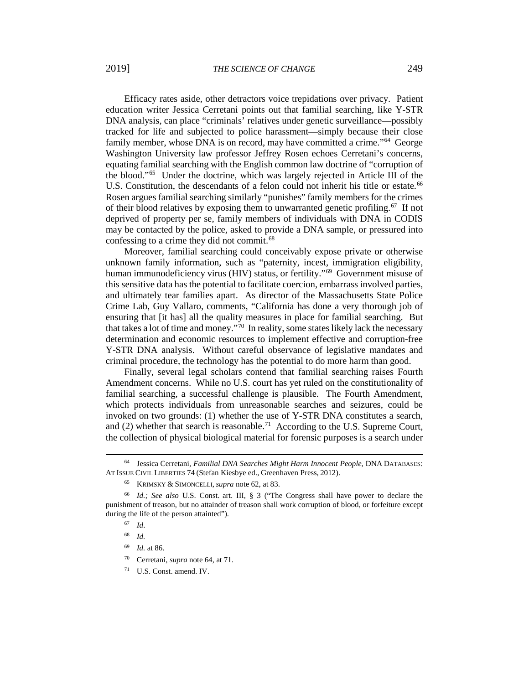Efficacy rates aside, other detractors voice trepidations over privacy. Patient education writer Jessica Cerretani points out that familial searching, like Y-STR DNA analysis, can place "criminals' relatives under genetic surveillance—possibly tracked for life and subjected to police harassment—simply because their close family member, whose DNA is on record, may have committed a crime."<sup>[64](#page-8-0)</sup> George Washington University law professor Jeffrey Rosen echoes Cerretani's concerns, equating familial searching with the English common law doctrine of "corruption of the blood."[65](#page-8-1) Under the doctrine, which was largely rejected in Article III of the U.S. Constitution, the descendants of a felon could not inherit his title or estate.<sup>[66](#page-8-2)</sup> Rosen argues familial searching similarly "punishes" family members for the crimes of their blood relatives by exposing them to unwarranted genetic profiling.<sup>[67](#page-8-3)</sup> If not deprived of property per se, family members of individuals with DNA in CODIS may be contacted by the police, asked to provide a DNA sample, or pressured into confessing to a crime they did not commit.<sup>[68](#page-8-4)</sup>

Moreover, familial searching could conceivably expose private or otherwise unknown family information, such as "paternity, incest, immigration eligibility, human immunodeficiency virus (HIV) status, or fertility."<sup>[69](#page-8-5)</sup> Government misuse of this sensitive data has the potential to facilitate coercion, embarrass involved parties, and ultimately tear families apart. As director of the Massachusetts State Police Crime Lab, Guy Vallaro, comments, "California has done a very thorough job of ensuring that [it has] all the quality measures in place for familial searching. But that takes a lot of time and money."<sup>[70](#page-8-6)</sup> In reality, some states likely lack the necessary determination and economic resources to implement effective and corruption-free Y-STR DNA analysis. Without careful observance of legislative mandates and criminal procedure, the technology has the potential to do more harm than good.

Finally, several legal scholars contend that familial searching raises Fourth Amendment concerns. While no U.S. court has yet ruled on the constitutionality of familial searching, a successful challenge is plausible. The Fourth Amendment, which protects individuals from unreasonable searches and seizures, could be invoked on two grounds: (1) whether the use of Y-STR DNA constitutes a search, and (2) whether that search is reasonable.<sup>[71](#page-8-7)</sup> According to the U.S. Supreme Court, the collection of physical biological material for forensic purposes is a search under

l

- <sup>70</sup> Cerretani, *supra* note 64, at 71.
- <span id="page-8-7"></span><sup>71</sup> U.S. Const. amend. IV.

<span id="page-8-0"></span><sup>64</sup> Jessica Cerretani, *Familial DNA Searches Might Harm Innocent People*, DNA DATABASES: AT ISSUE CIVIL LIBERTIES 74 (Stefan Kiesbye ed., Greenhaven Press, 2012).

<sup>65</sup> KRIMSKY & SIMONCELLI, *supra* note 62, at 83.

<span id="page-8-6"></span><span id="page-8-5"></span><span id="page-8-4"></span><span id="page-8-3"></span><span id="page-8-2"></span><span id="page-8-1"></span><sup>66</sup> *Id.; See also* U.S. Const. art. III, § 3 ("The Congress shall have power to declare the punishment of treason, but no attainder of treason shall work corruption of blood, or forfeiture except during the life of the person attainted").

<sup>67</sup> *Id*.

<sup>68</sup> *Id.*

<sup>69</sup> *Id.* at 86.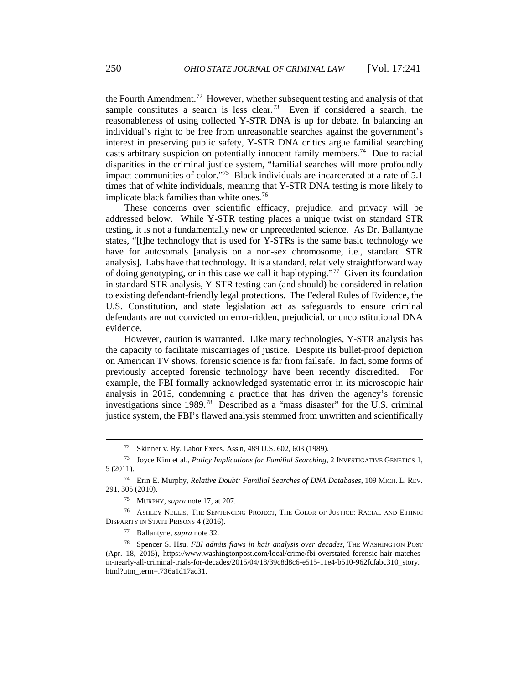the Fourth Amendment.<sup>[72](#page-9-0)</sup> However, whether subsequent testing and analysis of that sample constitutes a search is less clear.<sup>[73](#page-9-1)</sup> Even if considered a search, the reasonableness of using collected Y-STR DNA is up for debate. In balancing an individual's right to be free from unreasonable searches against the government's interest in preserving public safety, Y-STR DNA critics argue familial searching casts arbitrary suspicion on potentially innocent family members.<sup>[74](#page-9-2)</sup> Due to racial disparities in the criminal justice system, "familial searches will more profoundly impact communities of color."[75](#page-9-3) Black individuals are incarcerated at a rate of 5.1 times that of white individuals, meaning that Y-STR DNA testing is more likely to implicate black families than white ones.<sup>[76](#page-9-4)</sup>

These concerns over scientific efficacy, prejudice, and privacy will be addressed below. While Y-STR testing places a unique twist on standard STR testing, it is not a fundamentally new or unprecedented science. As Dr. Ballantyne states, "[t]he technology that is used for Y-STRs is the same basic technology we have for autosomals [analysis on a non-sex chromosome, i.e., standard STR analysis]. Labs have that technology. It is a standard, relatively straightforward way of doing genotyping, or in this case we call it haplotyping."[77](#page-9-5) Given its foundation in standard STR analysis, Y-STR testing can (and should) be considered in relation to existing defendant-friendly legal protections. The Federal Rules of Evidence, the U.S. Constitution, and state legislation act as safeguards to ensure criminal defendants are not convicted on error-ridden, prejudicial, or unconstitutional DNA evidence.

However, caution is warranted. Like many technologies, Y-STR analysis has the capacity to facilitate miscarriages of justice. Despite its bullet-proof depiction on American TV shows, forensic science is far from failsafe. In fact, some forms of previously accepted forensic technology have been recently discredited. For example, the FBI formally acknowledged systematic error in its microscopic hair analysis in 2015, condemning a practice that has driven the agency's forensic investigations since 1989.[78](#page-9-6) Described as a "mass disaster" for the U.S. criminal justice system, the FBI's flawed analysis stemmed from unwritten and scientifically

<sup>72</sup> Skinner v. Ry. Labor Execs. Ass'n, 489 U.S. 602, 603 (1989).

<span id="page-9-1"></span><span id="page-9-0"></span><sup>73</sup> Joyce Kim et al., *Policy Implications for Familial Searching*, 2 INVESTIGATIVE GENETICS 1, 5 (2011).

<span id="page-9-2"></span><sup>74</sup> Erin E. Murphy, *Relative Doubt: Familial Searches of DNA Databases*, 109 MICH. L. REV. 291, 305 (2010).

<sup>75</sup> MURPHY, *supra* note 17, at 207.

<span id="page-9-4"></span><span id="page-9-3"></span><sup>76</sup> ASHLEY NELLIS, THE SENTENCING PROJECT, THE COLOR OF JUSTICE: RACIAL AND ETHNIC DISPARITY IN STATE PRISONS 4 (2016).

<sup>77</sup> Ballantyne, *supra* note 32.

<span id="page-9-6"></span><span id="page-9-5"></span><sup>78</sup> Spencer S. Hsu, *FBI admits flaws in hair analysis over decades*, THE WASHINGTON POST (Apr. 18, 2015), https://www.washingtonpost.com/local/crime/fbi-overstated-forensic-hair-matchesin-nearly-all-criminal-trials-for-decades/2015/04/18/39c8d8c6-e515-11e4-b510-962fcfabc310\_story. html?utm\_term=.736a1d17ac31.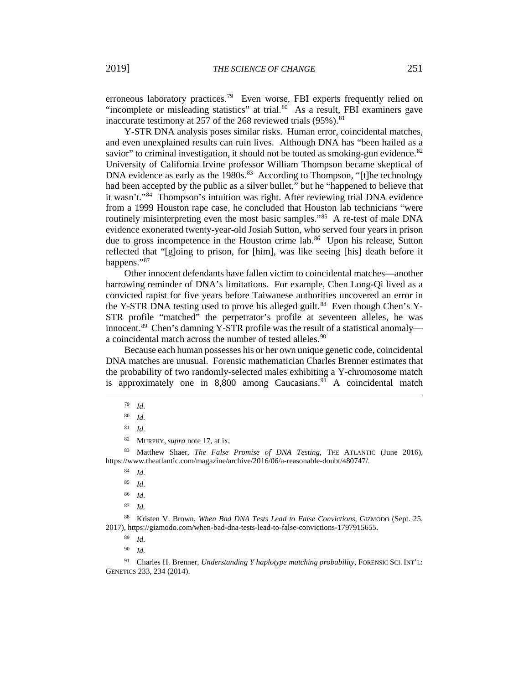erroneous laboratory practices.<sup>[79](#page-10-0)</sup> Even worse, FBI experts frequently relied on "incomplete or misleading statistics" at trial.<sup>[80](#page-10-1)</sup> As a result, FBI examiners gave inaccurate testimony at 257 of the 268 reviewed trials  $(95\%)$ .<sup>[81](#page-10-2)</sup>

Y-STR DNA analysis poses similar risks. Human error, coincidental matches, and even unexplained results can ruin lives. Although DNA has "been hailed as a savior" to criminal investigation, it should not be touted as smoking-gun evidence.<sup>[82](#page-10-3)</sup> University of California Irvine professor William Thompson became skeptical of DNA evidence as early as the  $1980s$ .<sup>[83](#page-10-4)</sup> According to Thompson, "[t]he technology had been accepted by the public as a silver bullet," but he "happened to believe that it wasn't."[84](#page-10-5) Thompson's intuition was right. After reviewing trial DNA evidence from a 1999 Houston rape case, he concluded that Houston lab technicians "were routinely misinterpreting even the most basic samples."<sup>[85](#page-10-6)</sup> A re-test of male DNA evidence exonerated twenty-year-old Josiah Sutton, who served four years in prison due to gross incompetence in the Houston crime lab.<sup>[86](#page-10-7)</sup> Upon his release, Sutton reflected that "[g]oing to prison, for [him], was like seeing [his] death before it happens."[87](#page-10-8)

Other innocent defendants have fallen victim to coincidental matches—another harrowing reminder of DNA's limitations. For example, Chen Long-Qi lived as a convicted rapist for five years before Taiwanese authorities uncovered an error in the Y-STR DNA testing used to prove his alleged guilt.<sup>[88](#page-10-9)</sup> Even though Chen's Y-STR profile "matched" the perpetrator's profile at seventeen alleles, he was innocent.<sup>[89](#page-10-10)</sup> Chen's damning Y-STR profile was the result of a statistical anomaly— a coincidental match across the number of tested alleles.<sup>[90](#page-10-11)</sup>

Because each human possesses his or her own unique genetic code, coincidental DNA matches are unusual. Forensic mathematician Charles Brenner estimates that the probability of two randomly-selected males exhibiting a Y-chromosome match is approximately one in  $8,800$  among Caucasians.<sup>[91](#page-10-12)</sup> A coincidental match

<span id="page-10-1"></span><span id="page-10-0"></span>l

<span id="page-10-6"></span><span id="page-10-5"></span><span id="page-10-4"></span><span id="page-10-3"></span><span id="page-10-2"></span><sup>83</sup> Matthew Shaer, *The False Promise of DNA Testing*, THE ATLANTIC (June 2016), https://www.theatlantic.com/magazine/archive/2016/06/a-reasonable-doubt/480747/.

<sup>84</sup> *Id.*

<sup>85</sup> *Id.*

<sup>86</sup> *Id.*

<sup>87</sup> *Id.* 

<span id="page-10-10"></span><span id="page-10-9"></span><span id="page-10-8"></span><span id="page-10-7"></span><sup>88</sup> Kristen V. Brown, *When Bad DNA Tests Lead to False Convictions*, GIZMODO (Sept. 25, 2017), https://gizmodo.com/when-bad-dna-tests-lead-to-false-convictions-1797915655.

<sup>89</sup> *Id.*

<sup>90</sup> *Id.*

<span id="page-10-12"></span><span id="page-10-11"></span><sup>91</sup> Charles H. Brenner, *Understanding Y haplotype matching probability*, FORENSIC SCI. INT'L: GENETICS 233, 234 (2014).

<sup>79</sup> *Id.*

<sup>80</sup> *Id.*

<sup>81</sup> *Id.*

<sup>82</sup> MURPHY, *supra* note 17, at ix.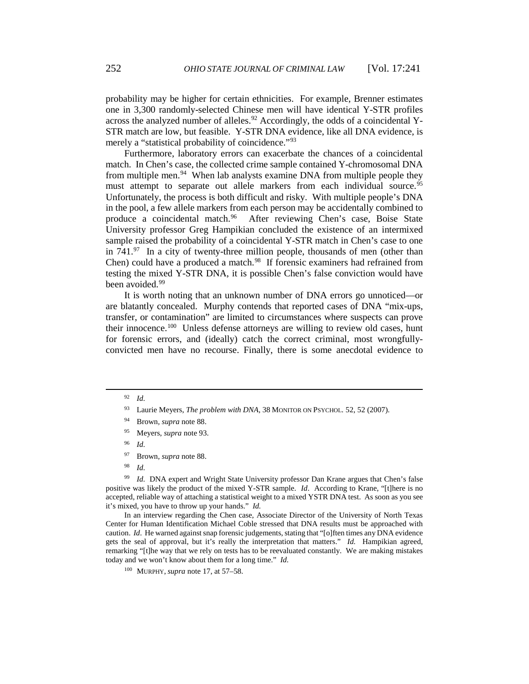probability may be higher for certain ethnicities. For example, Brenner estimates one in 3,300 randomly-selected Chinese men will have identical Y-STR profiles across the analyzed number of alleles.<sup>[92](#page-11-0)</sup> Accordingly, the odds of a coincidental Y-STR match are low, but feasible. Y-STR DNA evidence, like all DNA evidence, is merely a "statistical probability of coincidence."<sup>[93](#page-11-1)</sup>

Furthermore, laboratory errors can exacerbate the chances of a coincidental match. In Chen's case, the collected crime sample contained Y-chromosomal DNA from multiple men.<sup>[94](#page-11-2)</sup> When lab analysts examine DNA from multiple people they must attempt to separate out allele markers from each individual source.<sup>[95](#page-11-3)</sup> Unfortunately, the process is both difficult and risky. With multiple people's DNA in the pool, a few allele markers from each person may be accidentally combined to produce a coincidental match.<sup>96</sup> After reviewing Chen's case, Boise State After reviewing Chen's case, Boise State University professor Greg Hampikian concluded the existence of an intermixed sample raised the probability of a coincidental Y-STR match in Chen's case to one in  $741.^{97}$  In a city of twenty-three million people, thousands of men (other than Chen) could have a produced a match.<sup>[98](#page-11-6)</sup> If forensic examiners had refrained from testing the mixed Y-STR DNA, it is possible Chen's false conviction would have been avoided.<sup>[99](#page-11-7)</sup>

It is worth noting that an unknown number of DNA errors go unnoticed—or are blatantly concealed. Murphy contends that reported cases of DNA "mix-ups, transfer, or contamination" are limited to circumstances where suspects can prove their innocence.<sup>[100](#page-11-8)</sup> Unless defense attorneys are willing to review old cases, hunt for forensic errors, and (ideally) catch the correct criminal, most wrongfullyconvicted men have no recourse. Finally, there is some anecdotal evidence to

<span id="page-11-4"></span><span id="page-11-3"></span><span id="page-11-2"></span><span id="page-11-1"></span><span id="page-11-0"></span>l

- <sup>95</sup> Meyers, *supra* note 93.
- <sup>96</sup> *Id.*
- <sup>97</sup> Brown*, supra* note 88.
- <sup>98</sup> *Id.*

<span id="page-11-7"></span><span id="page-11-6"></span><span id="page-11-5"></span><sup>99</sup> *Id.* DNA expert and Wright State University professor Dan Krane argues that Chen's false positive was likely the product of the mixed Y-STR sample. *Id*. According to Krane, "[t]here is no accepted, reliable way of attaching a statistical weight to a mixed YSTR DNA test. As soon as you see it's mixed, you have to throw up your hands." *Id.*

<span id="page-11-9"></span><span id="page-11-8"></span>In an interview regarding the Chen case, Associate Director of the University of North Texas Center for Human Identification Michael Coble stressed that DNA results must be approached with caution. *Id*. He warned against snap forensic judgements, stating that "[o]ften times any DNA evidence gets the seal of approval, but it's really the interpretation that matters." *Id.* Hampikian agreed, remarking "[t]he way that we rely on tests has to be reevaluated constantly. We are making mistakes today and we won't know about them for a long time." *Id.* 

<sup>92</sup> *Id.*

<sup>93</sup> Laurie Meyers, *The problem with DNA*, 38 MONITOR ON PSYCHOL. 52, 52 (2007).

<sup>94</sup> Brown*, supra* note 88.

<sup>100</sup> MURPHY, *supra* note 17, at 57–58.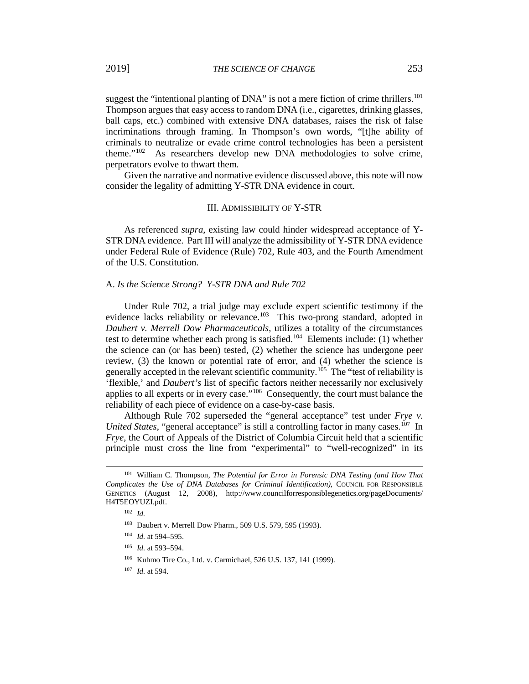suggest the "intentional planting of  $DNA$ " is not a mere fiction of crime thrillers.<sup>[101](#page-11-9)</sup> Thompson argues that easy access to random DNA (i.e., cigarettes, drinking glasses, ball caps, etc.) combined with extensive DNA databases, raises the risk of false incriminations through framing. In Thompson's own words, "[t]he ability of criminals to neutralize or evade crime control technologies has been a persistent theme."[102](#page-12-0) As researchers develop new DNA methodologies to solve crime, perpetrators evolve to thwart them.

Given the narrative and normative evidence discussed above, this note will now consider the legality of admitting Y-STR DNA evidence in court.

### III. ADMISSIBILITY OF Y-STR

As referenced *supra*, existing law could hinder widespread acceptance of Y-STR DNA evidence. Part III will analyze the admissibility of Y-STR DNA evidence under Federal Rule of Evidence (Rule) 702, Rule 403, and the Fourth Amendment of the U.S. Constitution.

## A. *Is the Science Strong? Y-STR DNA and Rule 702*

Under Rule 702, a trial judge may exclude expert scientific testimony if the evidence lacks reliability or relevance.<sup>[103](#page-12-1)</sup> This two-prong standard, adopted in *Daubert v. Merrell Dow Pharmaceuticals*, utilizes a totality of the circumstances test to determine whether each prong is satisfied.<sup>104</sup> Elements include: (1) whether the science can (or has been) tested, (2) whether the science has undergone peer review, (3) the known or potential rate of error, and (4) whether the science is generally accepted in the relevant scientific community.<sup>[105](#page-12-3)</sup> The "test of reliability is 'flexible,' and *Daubert's* list of specific factors neither necessarily nor exclusively applies to all experts or in every case."[106](#page-12-4) Consequently, the court must balance the reliability of each piece of evidence on a case-by-case basis.

Although Rule 702 superseded the "general acceptance" test under *Frye v. United States*, "general acceptance" is still a controlling factor in many cases.<sup>[107](#page-12-5)</sup> In *Frye*, the Court of Appeals of the District of Columbia Circuit held that a scientific principle must cross the line from "experimental" to "well-recognized" in its

<span id="page-12-2"></span><span id="page-12-1"></span><span id="page-12-0"></span><sup>101</sup> William C. Thompson, *The Potential for Error in Forensic DNA Testing (and How That Complicates the Use of DNA Databases for Criminal Identification)*, COUNCIL FOR RESPONSIBLE GENETICS (August 12, 2008), http://www.councilforresponsiblegenetics.org/pageDocuments/ H4T5EOYUZI.pdf.

<sup>102</sup> *Id.*

<sup>&</sup>lt;sup>103</sup> Daubert v. Merrell Dow Pharm., 509 U.S. 579, 595 (1993).

<sup>104</sup> *Id.* at 594–595.

<span id="page-12-4"></span><span id="page-12-3"></span><sup>105</sup> *Id.* at 593–594.

<sup>106</sup> Kuhmo Tire Co., Ltd. v. Carmichael, 526 U.S. 137, 141 (1999).

<span id="page-12-5"></span><sup>107</sup> *Id.* at 594.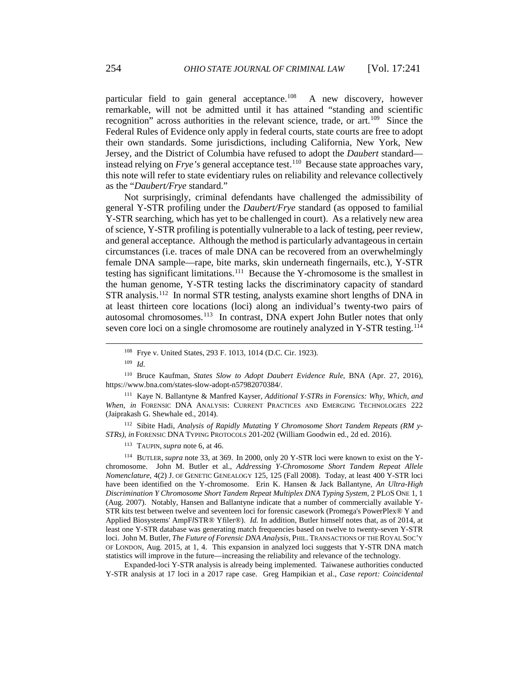particular field to gain general acceptance.<sup>[108](#page-13-0)</sup> A new discovery, however remarkable, will not be admitted until it has attained "standing and scientific recognition" across authorities in the relevant science, trade, or art.<sup>[109](#page-13-1)</sup> Since the Federal Rules of Evidence only apply in federal courts, state courts are free to adopt their own standards. Some jurisdictions, including California, New York, New Jersey, and the District of Columbia have refused to adopt the *Daubert* standard instead relying on *Frye's* general acceptance test.<sup>[110](#page-13-2)</sup> Because state approaches vary, this note will refer to state evidentiary rules on reliability and relevance collectively as the "*Daubert/Frye* standard."

Not surprisingly, criminal defendants have challenged the admissibility of general Y-STR profiling under the *Daubert/Frye* standard (as opposed to familial Y-STR searching, which has yet to be challenged in court). As a relatively new area of science, Y-STR profiling is potentially vulnerable to a lack of testing, peer review, and general acceptance. Although the method is particularly advantageous in certain circumstances (i.e. traces of male DNA can be recovered from an overwhelmingly female DNA sample—rape, bite marks, skin underneath fingernails, etc.), Y-STR testing has significant limitations.<sup>[111](#page-13-3)</sup> Because the Y-chromosome is the smallest in the human genome, Y-STR testing lacks the discriminatory capacity of standard STR analysis.[112](#page-13-4) In normal STR testing, analysts examine short lengths of DNA in at least thirteen core locations (loci) along an individual's twenty-two pairs of autosomal chromosomes.<sup>[113](#page-13-5)</sup> In contrast, DNA expert John Butler notes that only seven core loci on a single chromosome are routinely analyzed in Y-STR testing.<sup>[114](#page-13-6)</sup>

<sup>109</sup> *Id.* 

<span id="page-13-0"></span> $\overline{a}$ 

<span id="page-13-2"></span><span id="page-13-1"></span><sup>110</sup> Bruce Kaufman, *States Slow to Adopt Daubert Evidence Rule*, BNA (Apr. 27, 2016), https://www.bna.com/states-slow-adopt-n57982070384/.

<span id="page-13-3"></span><sup>111</sup> Kaye N. Ballantyne & Manfred Kayser, *Additional Y-STRs in Forensics: Why, Which, and When*, *in* FORENSIC DNA ANALYSIS: CURRENT PRACTICES AND EMERGING TECHNOLOGIES 222 (Jaiprakash G. Shewhale ed., 2014).

<span id="page-13-4"></span><sup>112</sup> Sibite Hadi, *Analysis of Rapidly Mutating Y Chromosome Short Tandem Repeats (RM y-STRs), in* FORENSIC DNA TYPING PROTOCOLS 201-202 (William Goodwin ed., 2d ed. 2016).

<sup>113</sup> TAUPIN, *supra* note 6, at 46.

<span id="page-13-6"></span><span id="page-13-5"></span><sup>114</sup> BUTLER, *supra* note 33, at 369. In 2000, only 20 Y-STR loci were known to exist on the Ychromosome. John M. Butler et al., *Addressing Y-Chromosome Short Tandem Repeat Allele Nomenclature*, 4(2) J. OF GENETIC GENEALOGY 125, 125 (Fall 2008). Today, at least 400 Y-STR loci have been identified on the Y-chromosome. Erin K. Hansen & Jack Ballantyne, *An Ultra-High Discrimination Y Chromosome Short Tandem Repeat Multiplex DNA Typing System*, 2 PLOS ONE 1, 1 (Aug. 2007). Notably, Hansen and Ballantyne indicate that a number of commercially available Y-STR kits test between twelve and seventeen loci for forensic casework (Promega's PowerPlex® Y and Applied Biosystems' AmpF*l*STR® Yfiler®). *Id.* In addition, Butler himself notes that, as of 2014, at least one Y-STR database was generating match frequencies based on twelve to twenty-seven Y-STR loci. John M. Butler, *The Future of Forensic DNA Analysis*, PHIL. TRANSACTIONS OF THE ROYAL SOC'Y OF LONDON, Aug. 2015, at 1, 4. This expansion in analyzed loci suggests that Y-STR DNA match statistics will improve in the future—increasing the reliability and relevance of the technology.

Expanded-loci Y-STR analysis is already being implemented. Taiwanese authorities conducted Y-STR analysis at 17 loci in a 2017 rape case. Greg Hampikian et al., *Case report: Coincidental* 

<sup>108</sup> Frye v. United States, 293 F. 1013, 1014 (D.C. Cir. 1923).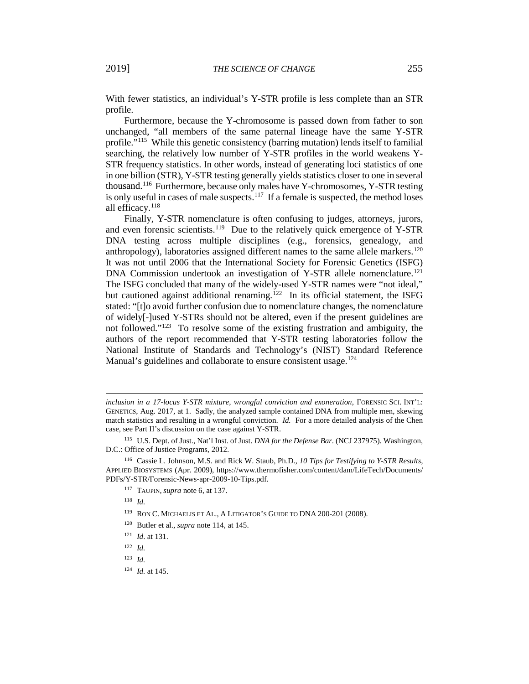With fewer statistics, an individual's Y-STR profile is less complete than an STR profile.

Furthermore, because the Y-chromosome is passed down from father to son unchanged, "all members of the same paternal lineage have the same Y-STR profile."[115](#page-14-0) While this genetic consistency (barring mutation) lends itself to familial searching, the relatively low number of Y-STR profiles in the world weakens Y-STR frequency statistics. In other words, instead of generating loci statistics of one in one billion (STR), Y-STR testing generally yields statistics closer to one in several thousand. [116](#page-14-1) Furthermore, because only males have Y-chromosomes, Y-STR testing is only useful in cases of male suspects.<sup>[117](#page-14-2)</sup> If a female is suspected, the method loses all efficacy.<sup>[118](#page-14-3)</sup>

Finally, Y-STR nomenclature is often confusing to judges, attorneys, jurors, and even forensic scientists.<sup>[119](#page-14-4)</sup> Due to the relatively quick emergence of Y-STR DNA testing across multiple disciplines (e.g., forensics, genealogy, and anthropology), laboratories assigned different names to the same allele markers. $120$ It was not until 2006 that the International Society for Forensic Genetics (ISFG) DNA Commission undertook an investigation of Y-STR allele nomenclature.<sup>[121](#page-14-6)</sup> The ISFG concluded that many of the widely-used Y-STR names were "not ideal," but cautioned against additional renaming.<sup>[122](#page-14-7)</sup> In its official statement, the ISFG stated: "[t]o avoid further confusion due to nomenclature changes, the nomenclature of widely[-]used Y-STRs should not be altered, even if the present guidelines are not followed."<sup>[123](#page-14-8)</sup> To resolve some of the existing frustration and ambiguity, the authors of the report recommended that Y-STR testing laboratories follow the National Institute of Standards and Technology's (NIST) Standard Reference Manual's guidelines and collaborate to ensure consistent usage.<sup>[124](#page-14-9)</sup>

<sup>118</sup> *Id.* 

- <sup>120</sup> Butler et al., *supra* note 114, at 145.
- <span id="page-14-6"></span><sup>121</sup> *Id*. at 131.
- <sup>122</sup> *Id.*
- <span id="page-14-9"></span><span id="page-14-8"></span><span id="page-14-7"></span><sup>123</sup> *Id.*
- <sup>124</sup> *Id.* at 145.

*inclusion in a 17-locus Y-STR mixture, wrongful conviction and exoneration*, FORENSIC SCI. INT'L: GENETICS, Aug. 2017, at 1. Sadly, the analyzed sample contained DNA from multiple men, skewing match statistics and resulting in a wrongful conviction. *Id.* For a more detailed analysis of the Chen case, see Part II's discussion on the case against Y-STR.

<span id="page-14-0"></span><sup>115</sup> U.S. Dept. of Just., Nat'l Inst. of Just. *DNA for the Defense Bar*. (NCJ 237975). Washington, D.C.: Office of Justice Programs, 2012.

<span id="page-14-5"></span><span id="page-14-4"></span><span id="page-14-3"></span><span id="page-14-2"></span><span id="page-14-1"></span><sup>116</sup> Cassie L. Johnson, M.S. and Rick W. Staub, Ph.D., *10 Tips for Testifying to Y-STR Results*, APPLIED BIOSYSTEMS (Apr. 2009), https://www.thermofisher.com/content/dam/LifeTech/Documents/ PDFs/Y-STR/Forensic-News-apr-2009-10-Tips.pdf.

<sup>117</sup> TAUPIN, *supra* note 6, at 137.

<sup>119</sup> RON C. MICHAELIS ET AL., A LITIGATOR'S GUIDE TO DNA 200-201 (2008).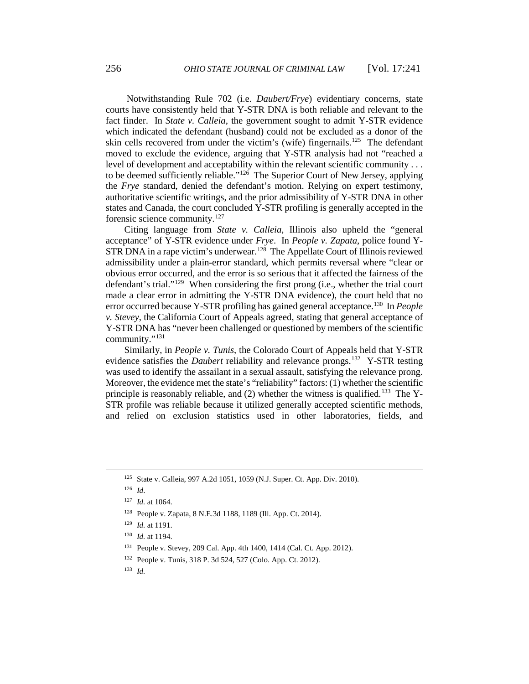Notwithstanding Rule 702 (i.e. *Daubert/Frye*) evidentiary concerns, state courts have consistently held that Y-STR DNA is both reliable and relevant to the fact finder. In *State v. Calleia*, the government sought to admit Y-STR evidence which indicated the defendant (husband) could not be excluded as a donor of the skin cells recovered from under the victim's (wife) fingernails.<sup>[125](#page-15-0)</sup> The defendant moved to exclude the evidence, arguing that Y-STR analysis had not "reached a level of development and acceptability within the relevant scientific community . . . to be deemed sufficiently reliable."[126](#page-15-1) The Superior Court of New Jersey, applying the *Frye* standard, denied the defendant's motion. Relying on expert testimony, authoritative scientific writings, and the prior admissibility of Y-STR DNA in other states and Canada, the court concluded Y-STR profiling is generally accepted in the forensic science community.[127](#page-15-2)

Citing language from *State v. Calleia*, Illinois also upheld the "general acceptance" of Y-STR evidence under *Frye*. In *People v. Zapata*, police found Y-STR DNA in a rape victim's underwear.<sup>[128](#page-15-3)</sup> The Appellate Court of Illinois reviewed admissibility under a plain-error standard, which permits reversal where "clear or obvious error occurred, and the error is so serious that it affected the fairness of the defendant's trial."[129](#page-15-4) When considering the first prong (i.e., whether the trial court made a clear error in admitting the Y-STR DNA evidence), the court held that no error occurred because Y-STR profiling has gained general acceptance.<sup>[130](#page-15-5)</sup> In *People v. Stevey*, the California Court of Appeals agreed, stating that general acceptance of Y-STR DNA has "never been challenged or questioned by members of the scientific community."[131](#page-15-6)

Similarly, in *People v. Tunis*, the Colorado Court of Appeals held that Y-STR evidence satisfies the *Daubert* reliability and relevance prongs. [132](#page-15-7) Y-STR testing was used to identify the assailant in a sexual assault, satisfying the relevance prong. Moreover, the evidence met the state's "reliability" factors: (1) whether the scientific principle is reasonably reliable, and  $(2)$  whether the witness is qualified.<sup>[133](#page-15-8)</sup> The Y-STR profile was reliable because it utilized generally accepted scientific methods, and relied on exclusion statistics used in other laboratories, fields, and

<span id="page-15-4"></span><span id="page-15-3"></span><span id="page-15-2"></span><span id="page-15-1"></span><span id="page-15-0"></span> $\overline{a}$ 

<span id="page-15-8"></span><sup>133</sup> *Id.*

<sup>125</sup> State v. Calleia, 997 A.2d 1051, 1059 (N.J. Super. Ct. App. Div. 2010).

<sup>126</sup> *Id*.

<sup>127</sup> *Id.* at 1064.

<sup>128</sup> People v. Zapata, 8 N.E.3d 1188, 1189 (Ill. App. Ct. 2014).

<span id="page-15-5"></span><sup>129</sup> *Id.* at 1191.

<sup>130</sup> *Id.* at 1194.

<span id="page-15-7"></span><span id="page-15-6"></span><sup>131</sup> People v. Stevey, 209 Cal. App. 4th 1400, 1414 (Cal. Ct. App. 2012).

<sup>132</sup> People v. Tunis, 318 P. 3d 524, 527 (Colo. App. Ct. 2012).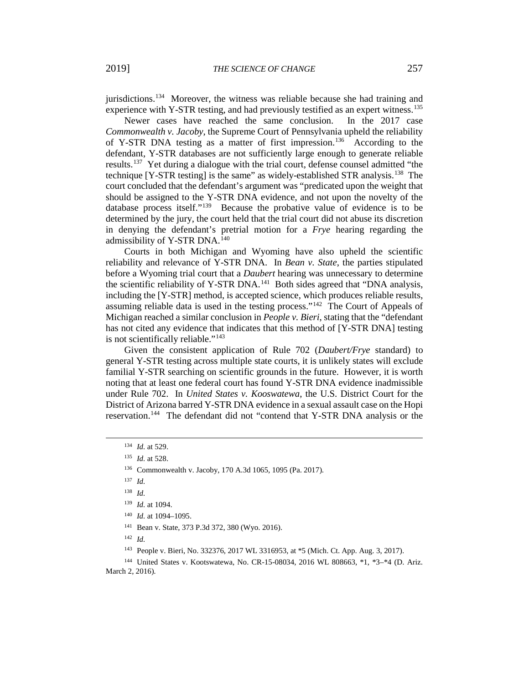jurisdictions.[134](#page-16-0) Moreover, the witness was reliable because she had training and experience with Y-STR testing, and had previously testified as an expert witness.<sup>[135](#page-16-1)</sup>

Newer cases have reached the same conclusion. In the 2017 case *Commonwealth v. Jacoby*, the Supreme Court of Pennsylvania upheld the reliability of Y-STR DNA testing as a matter of first impression.<sup>[136](#page-16-2)</sup> According to the defendant, Y-STR databases are not sufficiently large enough to generate reliable results.[137](#page-16-3) Yet during a dialogue with the trial court, defense counsel admitted "the technique [Y-STR testing] is the same" as widely-established STR analysis.[138](#page-16-4) The court concluded that the defendant's argument was "predicated upon the weight that should be assigned to the Y-STR DNA evidence, and not upon the novelty of the database process itself."[139](#page-16-5) Because the probative value of evidence is to be determined by the jury, the court held that the trial court did not abuse its discretion in denying the defendant's pretrial motion for a *Frye* hearing regarding the admissibility of Y-STR DNA.<sup>[140](#page-16-6)</sup>

Courts in both Michigan and Wyoming have also upheld the scientific reliability and relevance of Y-STR DNA. In *Bean v. State*, the parties stipulated before a Wyoming trial court that a *Daubert* hearing was unnecessary to determine the scientific reliability of Y-STR DNA.<sup>[141](#page-16-7)</sup> Both sides agreed that "DNA analysis, including the [Y-STR] method, is accepted science, which produces reliable results, assuming reliable data is used in the testing process."<sup>[142](#page-16-8)</sup> The Court of Appeals of Michigan reached a similar conclusion in *People v. Bieri*, stating that the "defendant has not cited any evidence that indicates that this method of [Y-STR DNA] testing is not scientifically reliable."<sup>[143](#page-16-9)</sup>

Given the consistent application of Rule 702 (*Daubert/Frye* standard) to general Y-STR testing across multiple state courts, it is unlikely states will exclude familial Y-STR searching on scientific grounds in the future. However, it is worth noting that at least one federal court has found Y-STR DNA evidence inadmissible under Rule 702. In *United States v. Kooswatewa*, the U.S. District Court for the District of Arizona barred Y-STR DNA evidence in a sexual assault case on the Hopi reservation.<sup>144</sup> The defendant did not "contend that Y-STR DNA analysis or the

<span id="page-16-4"></span><span id="page-16-3"></span><span id="page-16-2"></span><span id="page-16-1"></span><span id="page-16-0"></span> $\overline{a}$ 

<sup>141</sup> Bean v. State, 373 P.3d 372, 380 (Wyo. 2016).

 $142$  *Id.* 

<sup>143</sup> People v. Bieri, No. 332376, 2017 WL 3316953, at \*5 (Mich. Ct. App. Aug. 3, 2017).

<sup>134</sup> *Id.* at 529.

<sup>135</sup> *Id.* at 528.

<sup>136</sup> Commonwealth v. Jacoby, 170 A.3d 1065, 1095 (Pa. 2017).

<sup>137</sup> *Id.* 

<sup>138</sup> *Id.*

<sup>139</sup> *Id.* at 1094.

<sup>140</sup> *Id.* at 1094–1095.

<span id="page-16-10"></span><span id="page-16-9"></span><span id="page-16-8"></span><span id="page-16-7"></span><span id="page-16-6"></span><span id="page-16-5"></span><sup>144</sup> United States v. Kootswatewa, No. CR-15-08034, 2016 WL 808663, \*1, \*3–\*4 (D. Ariz. March 2, 2016).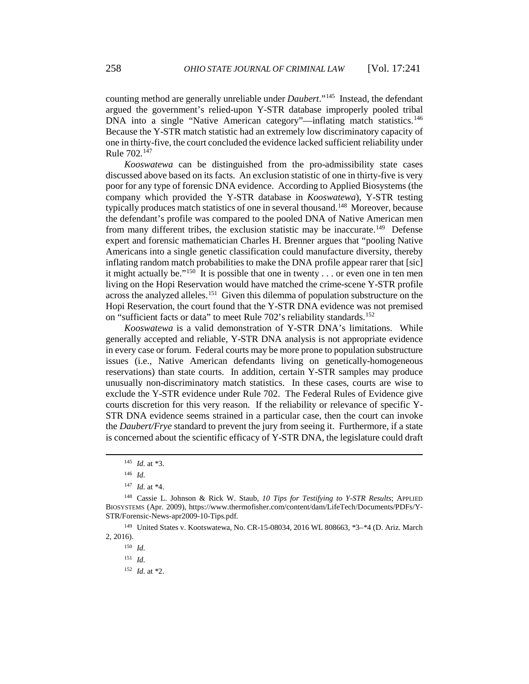counting method are generally unreliable under *Daubert*.["145](#page-17-0) Instead, the defendant argued the government's relied-upon Y-STR database improperly pooled tribal DNA into a single "Native American category"—inflating match statistics.<sup>[146](#page-17-1)</sup> Because the Y-STR match statistic had an extremely low discriminatory capacity of one in thirty-five, the court concluded the evidence lacked sufficient reliability under Rule 702.[147](#page-17-2)

*Kooswatewa* can be distinguished from the pro-admissibility state cases discussed above based on its facts. An exclusion statistic of one in thirty-five is very poor for any type of forensic DNA evidence. According to Applied Biosystems (the company which provided the Y-STR database in *Kooswatewa*), Y-STR testing typically produces match statistics of one in several thousand.<sup>148</sup> Moreover, because the defendant's profile was compared to the pooled DNA of Native American men from many different tribes, the exclusion statistic may be inaccurate.<sup>[149](#page-17-4)</sup> Defense expert and forensic mathematician Charles H. Brenner argues that "pooling Native Americans into a single genetic classification could manufacture diversity, thereby inflating random match probabilities to make the DNA profile appear rarer that [sic] it might actually be."<sup>[150](#page-17-5)</sup> It is possible that one in twenty . . . or even one in ten men living on the Hopi Reservation would have matched the crime-scene Y-STR profile across the analyzed alleles.<sup>[151](#page-17-6)</sup> Given this dilemma of population substructure on the Hopi Reservation, the court found that the Y-STR DNA evidence was not premised on "sufficient facts or data" to meet Rule 702's reliability standards.<sup>[152](#page-17-7)</sup>

*Kooswatewa* is a valid demonstration of Y-STR DNA's limitations. While generally accepted and reliable, Y-STR DNA analysis is not appropriate evidence in every case or forum. Federal courts may be more prone to population substructure issues (i.e., Native American defendants living on genetically-homogeneous reservations) than state courts. In addition, certain Y-STR samples may produce unusually non-discriminatory match statistics. In these cases, courts are wise to exclude the Y-STR evidence under Rule 702. The Federal Rules of Evidence give courts discretion for this very reason. If the reliability or relevance of specific Y-STR DNA evidence seems strained in a particular case, then the court can invoke the *Daubert/Frye* standard to prevent the jury from seeing it. Furthermore, if a state is concerned about the scientific efficacy of Y-STR DNA, the legislature could draft

<span id="page-17-0"></span>l

<sup>152</sup> *Id.* at \*2.

<sup>145</sup> *Id.* at \*3.

<sup>146</sup> *Id.*

<sup>147</sup> *Id.* at \*4.

<span id="page-17-3"></span><span id="page-17-2"></span><span id="page-17-1"></span><sup>148</sup> Cassie L. Johnson & Rick W. Staub, *10 Tips for Testifying to Y-STR Results*; APPLIED BIOSYSTEMS (Apr. 2009), https://www.thermofisher.com/content/dam/LifeTech/Documents/PDFs/Y-STR/Forensic-News-apr2009-10-Tips.pdf.

<span id="page-17-7"></span><span id="page-17-6"></span><span id="page-17-5"></span><span id="page-17-4"></span><sup>149</sup> United States v. Kootswatewa, No. CR-15-08034, 2016 WL 808663, \*3–\*4 (D. Ariz. March 2, 2016).

 $150$  *Id.* 

<sup>151</sup> *Id.*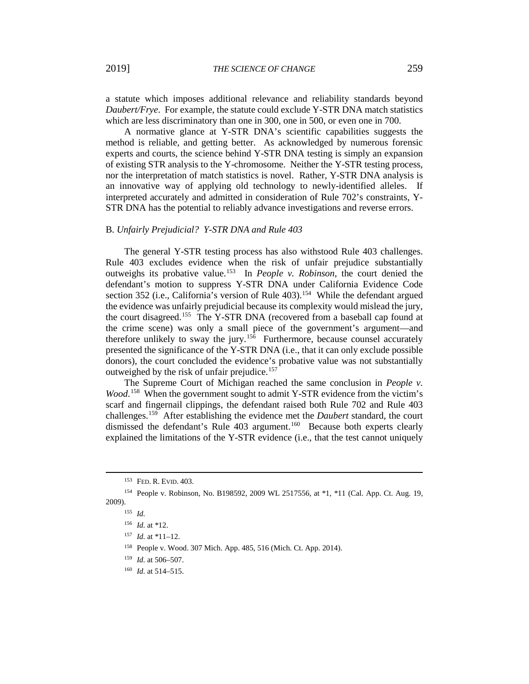a statute which imposes additional relevance and reliability standards beyond *Daubert/Frye*. For example, the statute could exclude Y-STR DNA match statistics which are less discriminatory than one in 300, one in 500, or even one in 700.

A normative glance at Y-STR DNA's scientific capabilities suggests the method is reliable, and getting better. As acknowledged by numerous forensic experts and courts, the science behind Y-STR DNA testing is simply an expansion of existing STR analysis to the Y-chromosome. Neither the Y-STR testing process, nor the interpretation of match statistics is novel. Rather, Y-STR DNA analysis is an innovative way of applying old technology to newly-identified alleles. If interpreted accurately and admitted in consideration of Rule 702's constraints, Y-STR DNA has the potential to reliably advance investigations and reverse errors.

#### B. *Unfairly Prejudicial? Y-STR DNA and Rule 403*

The general Y-STR testing process has also withstood Rule 403 challenges. Rule 403 excludes evidence when the risk of unfair prejudice substantially outweighs its probative value.[153](#page-18-0) In *People v. Robinson*, the court denied the defendant's motion to suppress Y-STR DNA under California Evidence Code section 352 (i.e., California's version of Rule 403).<sup>[154](#page-18-1)</sup> While the defendant argued the evidence was unfairly prejudicial because its complexity would mislead the jury, the court disagreed.[155](#page-18-2) The Y-STR DNA (recovered from a baseball cap found at the crime scene) was only a small piece of the government's argument—and therefore unlikely to sway the jury.<sup>[156](#page-18-3)</sup> Furthermore, because counsel accurately presented the significance of the Y-STR DNA (i.e., that it can only exclude possible donors), the court concluded the evidence's probative value was not substantially outweighed by the risk of unfair prejudice.[157](#page-18-4)

The Supreme Court of Michigan reached the same conclusion in *People v.*  Wood.<sup>[158](#page-18-5)</sup> When the government sought to admit Y-STR evidence from the victim's scarf and fingernail clippings, the defendant raised both Rule 702 and Rule 403 challenges.[159](#page-18-6) After establishing the evidence met the *Daubert* standard, the court dismissed the defendant's Rule 403 argument.<sup>[160](#page-18-7)</sup> Because both experts clearly explained the limitations of the Y-STR evidence (i.e., that the test cannot uniquely

<sup>153</sup> FED. R. EVID. 403.

<span id="page-18-5"></span><span id="page-18-4"></span><span id="page-18-3"></span><span id="page-18-2"></span><span id="page-18-1"></span><span id="page-18-0"></span><sup>154</sup> People v. Robinson, No. B198592, 2009 WL 2517556, at \*1, \*11 (Cal. App. Ct. Aug. 19, 2009).

<sup>155</sup> *Id.*

<sup>156</sup> *Id.* at \*12.

<sup>157</sup> *Id.* at \*11–12.

<sup>158</sup> People v. Wood. 307 Mich. App. 485, 516 (Mich. Ct. App. 2014).

<span id="page-18-6"></span><sup>159</sup> *Id.* at 506–507.

<span id="page-18-7"></span><sup>160</sup> *Id.* at 514–515.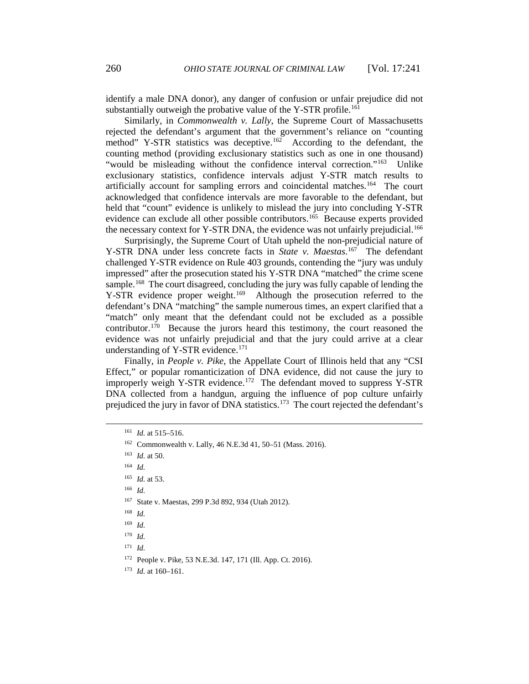identify a male DNA donor), any danger of confusion or unfair prejudice did not substantially outweigh the probative value of the Y-STR profile.<sup>[161](#page-19-0)</sup>

Similarly, in *Commonwealth v. Lally*, the Supreme Court of Massachusetts rejected the defendant's argument that the government's reliance on "counting method" Y-STR statistics was deceptive.<sup>[162](#page-19-1)</sup> According to the defendant, the counting method (providing exclusionary statistics such as one in one thousand) "would be misleading without the confidence interval correction."<sup>[163](#page-19-2)</sup> Unlike exclusionary statistics, confidence intervals adjust Y-STR match results to artificially account for sampling errors and coincidental matches.[164](#page-19-3) The court acknowledged that confidence intervals are more favorable to the defendant, but held that "count" evidence is unlikely to mislead the jury into concluding Y-STR evidence can exclude all other possible contributors.<sup>[165](#page-19-4)</sup> Because experts provided the necessary context for Y-STR DNA, the evidence was not unfairly prejudicial.<sup>[166](#page-19-5)</sup>

Surprisingly, the Supreme Court of Utah upheld the non-prejudicial nature of Y-STR DNA under less concrete facts in *State v. Maestas*. [167](#page-19-6) The defendant challenged Y-STR evidence on Rule 403 grounds, contending the "jury was unduly impressed" after the prosecution stated his Y-STR DNA "matched" the crime scene sample.<sup>[168](#page-19-7)</sup> The court disagreed, concluding the jury was fully capable of lending the Y-STR evidence proper weight.<sup>[169](#page-19-8)</sup> Although the prosecution referred to the defendant's DNA "matching" the sample numerous times, an expert clarified that a "match" only meant that the defendant could not be excluded as a possible contributor.<sup>[170](#page-19-9)</sup> Because the jurors heard this testimony, the court reasoned the evidence was not unfairly prejudicial and that the jury could arrive at a clear understanding of Y-STR evidence. $171$ 

Finally, in *People v. Pike*, the Appellate Court of Illinois held that any "CSI Effect," or popular romanticization of DNA evidence, did not cause the jury to improperly weigh Y-STR evidence.<sup>[172](#page-19-11)</sup> The defendant moved to suppress Y-STR DNA collected from a handgun, arguing the influence of pop culture unfairly prejudiced the jury in favor of DNA statistics.<sup>[173](#page-19-12)</sup> The court rejected the defendant's

- <span id="page-19-5"></span><span id="page-19-4"></span><sup>166</sup> *Id.*
- <span id="page-19-6"></span><sup>167</sup> State v. Maestas, 299 P.3d 892, 934 (Utah 2012).

<span id="page-19-0"></span><sup>161</sup> *Id.* at 515–516.

<span id="page-19-1"></span><sup>162</sup> Commonwealth v. Lally, 46 N.E.3d 41, 50–51 (Mass. 2016).

<span id="page-19-2"></span><sup>163</sup> *Id.* at 50.

<span id="page-19-3"></span> $164$  *Id.* 

<sup>165</sup> *Id.* at 53.

<span id="page-19-7"></span><sup>168</sup> *Id.* 

<span id="page-19-8"></span><sup>169</sup> *Id.*

<span id="page-19-9"></span><sup>170</sup> *Id.*

<span id="page-19-10"></span> $171$  *Id.* 

<sup>172</sup> People v. Pike, 53 N.E.3d. 147, 171 (Ill. App. Ct. 2016).

<span id="page-19-12"></span><span id="page-19-11"></span><sup>173</sup> *Id.* at 160–161.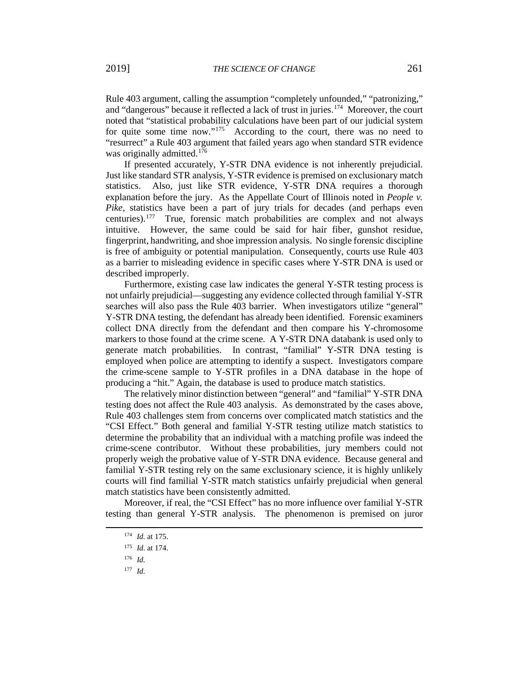Rule 403 argument, calling the assumption "completely unfounded," "patronizing," and "dangerous" because it reflected a lack of trust in juries.[174](#page-20-0) Moreover, the court noted that "statistical probability calculations have been part of our judicial system for quite some time now."<sup>[175](#page-20-1)</sup> According to the court, there was no need to "resurrect" a Rule 403 argument that failed years ago when standard STR evidence was originally admitted.<sup>[176](#page-20-2)</sup>

If presented accurately, Y-STR DNA evidence is not inherently prejudicial. Just like standard STR analysis, Y-STR evidence is premised on exclusionary match statistics. Also, just like STR evidence, Y-STR DNA requires a thorough explanation before the jury. As the Appellate Court of Illinois noted in *People v. Pike*, statistics have been a part of jury trials for decades (and perhaps even centuries).[177](#page-20-3) True, forensic match probabilities are complex and not always intuitive. However, the same could be said for hair fiber, gunshot residue, fingerprint, handwriting, and shoe impression analysis. No single forensic discipline is free of ambiguity or potential manipulation. Consequently, courts use Rule 403 as a barrier to misleading evidence in specific cases where Y-STR DNA is used or described improperly.

Furthermore, existing case law indicates the general Y-STR testing process is not unfairly prejudicial—suggesting any evidence collected through familial Y-STR searches will also pass the Rule 403 barrier. When investigators utilize "general" Y-STR DNA testing, the defendant has already been identified. Forensic examiners collect DNA directly from the defendant and then compare his Y-chromosome markers to those found at the crime scene. A Y-STR DNA databank is used only to generate match probabilities. In contrast, "familial" Y-STR DNA testing is employed when police are attempting to identify a suspect. Investigators compare the crime-scene sample to Y-STR profiles in a DNA database in the hope of producing a "hit." Again, the database is used to produce match statistics.

The relatively minor distinction between "general" and "familial" Y-STR DNA testing does not affect the Rule 403 analysis. As demonstrated by the cases above, Rule 403 challenges stem from concerns over complicated match statistics and the "CSI Effect." Both general and familial Y-STR testing utilize match statistics to determine the probability that an individual with a matching profile was indeed the crime-scene contributor. Without these probabilities, jury members could not properly weigh the probative value of Y-STR DNA evidence. Because general and familial Y-STR testing rely on the same exclusionary science, it is highly unlikely courts will find familial Y-STR match statistics unfairly prejudicial when general match statistics have been consistently admitted.

Moreover, if real, the "CSI Effect" has no more influence over familial Y-STR testing than general Y-STR analysis. The phenomenon is premised on juror

<span id="page-20-3"></span><span id="page-20-2"></span><span id="page-20-1"></span><span id="page-20-0"></span> $\overline{a}$ 

<sup>177</sup> *Id.*

<sup>174</sup> *Id.* at 175.

<sup>175</sup> *Id.* at 174.

<sup>176</sup> *Id.*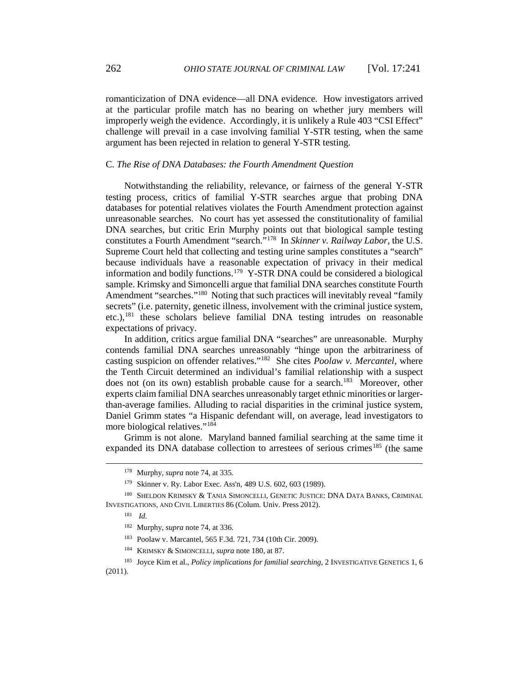romanticization of DNA evidence—all DNA evidence. How investigators arrived at the particular profile match has no bearing on whether jury members will improperly weigh the evidence. Accordingly, it is unlikely a Rule 403 "CSI Effect" challenge will prevail in a case involving familial Y-STR testing, when the same argument has been rejected in relation to general Y-STR testing.

### C. *The Rise of DNA Databases: the Fourth Amendment Question*

Notwithstanding the reliability, relevance, or fairness of the general Y-STR testing process, critics of familial Y-STR searches argue that probing DNA databases for potential relatives violates the Fourth Amendment protection against unreasonable searches. No court has yet assessed the constitutionality of familial DNA searches, but critic Erin Murphy points out that biological sample testing constitutes a Fourth Amendment "search."[178](#page-21-0) In *Skinner v. Railway Labor*, the U.S. Supreme Court held that collecting and testing urine samples constitutes a "search" because individuals have a reasonable expectation of privacy in their medical information and bodily functions.[179](#page-21-1) Y-STR DNA could be considered a biological sample. Krimsky and Simoncelli argue that familial DNA searches constitute Fourth Amendment "searches."<sup>180</sup> Noting that such practices will inevitably reveal "family" secrets" (i.e. paternity, genetic illness, involvement with the criminal justice system, etc.),<sup>[181](#page-21-3)</sup> these scholars believe familial DNA testing intrudes on reasonable expectations of privacy.

In addition, critics argue familial DNA "searches" are unreasonable. Murphy contends familial DNA searches unreasonably "hinge upon the arbitrariness of casting suspicion on offender relatives.["182](#page-21-4) She cites *Poolaw v. Mercantel*, where the Tenth Circuit determined an individual's familial relationship with a suspect does not (on its own) establish probable cause for a search.<sup>[183](#page-21-5)</sup> Moreover, other experts claim familial DNA searches unreasonably target ethnic minorities or largerthan-average families. Alluding to racial disparities in the criminal justice system, Daniel Grimm states "a Hispanic defendant will, on average, lead investigators to more biological relatives."<sup>[184](#page-21-6)</sup>

Grimm is not alone. Maryland banned familial searching at the same time it expanded its DNA database collection to arrestees of serious crimes<sup>[185](#page-21-7)</sup> (the same

<sup>178</sup> Murphy, *supra* note 74, at 335*.* 

<sup>179</sup> Skinner v. Ry. Labor Exec. Ass'n, 489 U.S. 602, 603 (1989).

<span id="page-21-4"></span><span id="page-21-3"></span><span id="page-21-2"></span><span id="page-21-1"></span><span id="page-21-0"></span><sup>180</sup> SHELDON KRIMSKY & TANIA SIMONCELLI, GENETIC JUSTICE: DNA DATA BANKS, CRIMINAL INVESTIGATIONS, AND CIVIL LIBERTIES 86 (Colum. Univ. Press 2012).

<sup>181</sup> *Id.*

<sup>182</sup> Murphy, *supra* note 74, at 336.

<sup>183</sup> Poolaw v. Marcantel, 565 F.3d. 721, 734 (10th Cir. 2009).

<sup>184</sup> KRIMSKY & SIMONCELLI, *supra* note 180, at 87.

<span id="page-21-7"></span><span id="page-21-6"></span><span id="page-21-5"></span><sup>185</sup> Joyce Kim et al., *Policy implications for familial searching*, 2 INVESTIGATIVE GENETICS 1, 6 (2011).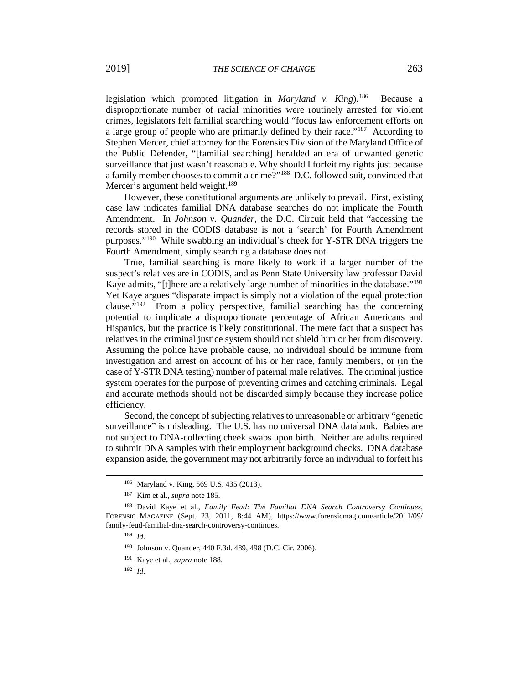legislation which prompted litigation in *Maryland v. King*).[186](#page-22-0) Because a disproportionate number of racial minorities were routinely arrested for violent crimes, legislators felt familial searching would "focus law enforcement efforts on a large group of people who are primarily defined by their race."<sup>187</sup> According to Stephen Mercer, chief attorney for the Forensics Division of the Maryland Office of the Public Defender, "[familial searching] heralded an era of unwanted genetic surveillance that just wasn't reasonable. Why should I forfeit my rights just because a family member chooses to commit a crime?"[188](#page-22-2) D.C. followed suit, convinced that Mercer's argument held weight.<sup>[189](#page-22-3)</sup>

However, these constitutional arguments are unlikely to prevail. First, existing case law indicates familial DNA database searches do not implicate the Fourth Amendment. In *Johnson v. Quander*, the D.C. Circuit held that "accessing the records stored in the CODIS database is not a 'search' for Fourth Amendment purposes."[190](#page-22-4) While swabbing an individual's cheek for Y-STR DNA triggers the Fourth Amendment, simply searching a database does not.

True, familial searching is more likely to work if a larger number of the suspect's relatives are in CODIS, and as Penn State University law professor David Kaye admits, "[t]here are a relatively large number of minorities in the database."<sup>[191](#page-22-5)</sup> Yet Kaye argues "disparate impact is simply not a violation of the equal protection clause."[192](#page-22-6) From a policy perspective, familial searching has the concerning potential to implicate a disproportionate percentage of African Americans and Hispanics, but the practice is likely constitutional. The mere fact that a suspect has relatives in the criminal justice system should not shield him or her from discovery. Assuming the police have probable cause, no individual should be immune from investigation and arrest on account of his or her race, family members, or (in the case of Y-STR DNA testing) number of paternal male relatives. The criminal justice system operates for the purpose of preventing crimes and catching criminals. Legal and accurate methods should not be discarded simply because they increase police efficiency.

Second, the concept of subjecting relatives to unreasonable or arbitrary "genetic surveillance" is misleading. The U.S. has no universal DNA databank. Babies are not subject to DNA-collecting cheek swabs upon birth. Neither are adults required to submit DNA samples with their employment background checks. DNA database expansion aside, the government may not arbitrarily force an individual to forfeit his

<sup>186</sup> Maryland v. King, 569 U.S. 435 (2013).

<sup>187</sup> Kim et al., *supra* note 185.

<span id="page-22-6"></span><span id="page-22-5"></span><span id="page-22-4"></span><span id="page-22-3"></span><span id="page-22-2"></span><span id="page-22-1"></span><span id="page-22-0"></span><sup>188</sup> David Kaye et al., *Family Feud: The Familial DNA Search Controversy Continues*, FORENSIC MAGAZINE (Sept. 23, 2011, 8:44 AM), https://www.forensicmag.com/article/2011/09/ family-feud-familial-dna-search-controversy-continues.

<sup>189</sup> *Id.* 

<sup>190</sup> Johnson v. Quander, 440 F.3d. 489, 498 (D.C. Cir. 2006).

<sup>191</sup> Kaye et al., *supra* note 188*.*

<sup>192</sup> *Id.*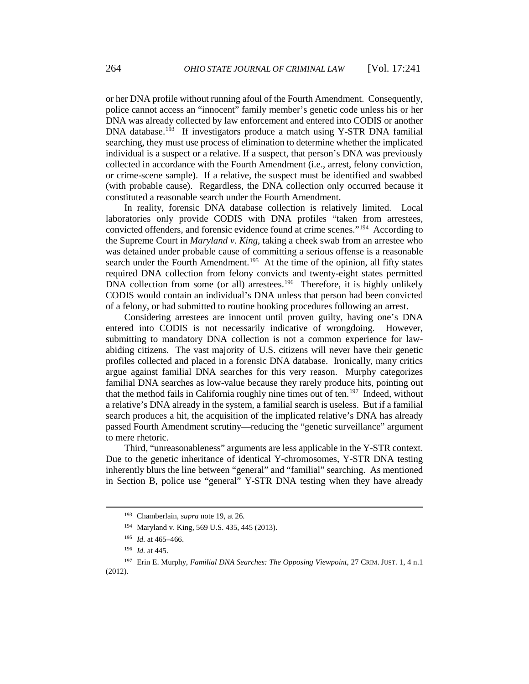or her DNA profile without running afoul of the Fourth Amendment. Consequently, police cannot access an "innocent" family member's genetic code unless his or her DNA was already collected by law enforcement and entered into CODIS or another DNA database.<sup>[193](#page-23-0)</sup> If investigators produce a match using Y-STR DNA familial searching, they must use process of elimination to determine whether the implicated individual is a suspect or a relative. If a suspect, that person's DNA was previously collected in accordance with the Fourth Amendment (i.e., arrest, felony conviction, or crime-scene sample). If a relative, the suspect must be identified and swabbed (with probable cause). Regardless, the DNA collection only occurred because it constituted a reasonable search under the Fourth Amendment.

In reality, forensic DNA database collection is relatively limited. Local laboratories only provide CODIS with DNA profiles "taken from arrestees, convicted offenders, and forensic evidence found at crime scenes.["194](#page-23-1) According to the Supreme Court in *Maryland v. King*, taking a cheek swab from an arrestee who was detained under probable cause of committing a serious offense is a reasonable search under the Fourth Amendment.<sup>[195](#page-23-2)</sup> At the time of the opinion, all fifty states required DNA collection from felony convicts and twenty-eight states permitted DNA collection from some (or all) arrestees.<sup>196</sup> Therefore, it is highly unlikely CODIS would contain an individual's DNA unless that person had been convicted of a felony, or had submitted to routine booking procedures following an arrest.

Considering arrestees are innocent until proven guilty, having one's DNA entered into CODIS is not necessarily indicative of wrongdoing. However, submitting to mandatory DNA collection is not a common experience for lawabiding citizens. The vast majority of U.S. citizens will never have their genetic profiles collected and placed in a forensic DNA database. Ironically, many critics argue against familial DNA searches for this very reason. Murphy categorizes familial DNA searches as low-value because they rarely produce hits, pointing out that the method fails in California roughly nine times out of ten.<sup>[197](#page-23-4)</sup> Indeed, without a relative's DNA already in the system, a familial search is useless. But if a familial search produces a hit, the acquisition of the implicated relative's DNA has already passed Fourth Amendment scrutiny—reducing the "genetic surveillance" argument to mere rhetoric.

Third, "unreasonableness" arguments are less applicable in the Y-STR context. Due to the genetic inheritance of identical Y-chromosomes, Y-STR DNA testing inherently blurs the line between "general" and "familial" searching. As mentioned in Section B, police use "general" Y-STR DNA testing when they have already

<sup>193</sup> Chamberlain, *supra* note 19, at 26.

<sup>194</sup> Maryland v. King, 569 U.S. 435, 445 (2013).

<sup>195</sup> *Id.* at 465–466.

<sup>196</sup> *Id.* at 445.

<span id="page-23-4"></span><span id="page-23-3"></span><span id="page-23-2"></span><span id="page-23-1"></span><span id="page-23-0"></span><sup>197</sup> Erin E. Murphy, *Familial DNA Searches: The Opposing Viewpoint*, 27 CRIM. JUST. 1, 4 n.1 (2012).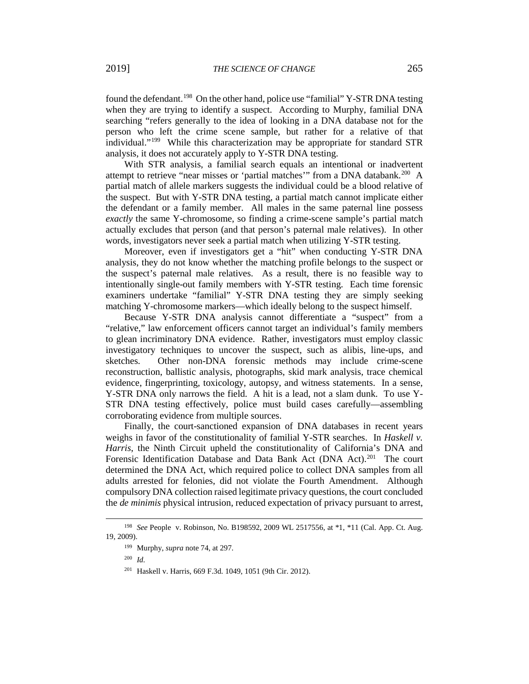found the defendant.<sup>[198](#page-24-0)</sup> On the other hand, police use "familial" Y-STR DNA testing when they are trying to identify a suspect. According to Murphy, familial DNA searching "refers generally to the idea of looking in a DNA database not for the person who left the crime scene sample, but rather for a relative of that individual."[199](#page-24-1) While this characterization may be appropriate for standard STR analysis, it does not accurately apply to Y-STR DNA testing.

With STR analysis, a familial search equals an intentional or inadvertent attempt to retrieve "near misses or 'partial matches'" from a DNA databank.<sup>[200](#page-24-2)</sup> A partial match of allele markers suggests the individual could be a blood relative of the suspect. But with Y-STR DNA testing, a partial match cannot implicate either the defendant or a family member. All males in the same paternal line possess *exactly* the same Y-chromosome, so finding a crime-scene sample's partial match actually excludes that person (and that person's paternal male relatives). In other words, investigators never seek a partial match when utilizing Y-STR testing.

Moreover, even if investigators get a "hit" when conducting Y-STR DNA analysis, they do not know whether the matching profile belongs to the suspect or the suspect's paternal male relatives. As a result, there is no feasible way to intentionally single-out family members with Y-STR testing. Each time forensic examiners undertake "familial" Y-STR DNA testing they are simply seeking matching Y-chromosome markers—which ideally belong to the suspect himself.

Because Y-STR DNA analysis cannot differentiate a "suspect" from a "relative," law enforcement officers cannot target an individual's family members to glean incriminatory DNA evidence. Rather, investigators must employ classic investigatory techniques to uncover the suspect, such as alibis, line-ups, and sketches. Other non-DNA forensic methods may include crime-scene reconstruction, ballistic analysis, photographs, skid mark analysis, trace chemical evidence, fingerprinting, toxicology, autopsy, and witness statements. In a sense, Y-STR DNA only narrows the field. A hit is a lead, not a slam dunk. To use Y-STR DNA testing effectively, police must build cases carefully—assembling corroborating evidence from multiple sources.

Finally, the court-sanctioned expansion of DNA databases in recent years weighs in favor of the constitutionality of familial Y-STR searches. In *Haskell v. Harris*, the Ninth Circuit upheld the constitutionality of California's DNA and Forensic Identification Database and Data Bank Act (DNA Act).<sup>[201](#page-24-3)</sup> The court determined the DNA Act, which required police to collect DNA samples from all adults arrested for felonies, did not violate the Fourth Amendment. Although compulsory DNA collection raised legitimate privacy questions, the court concluded the *de minimis* physical intrusion, reduced expectation of privacy pursuant to arrest,

 $\overline{a}$ 

<sup>201</sup> Haskell v. Harris, 669 F.3d. 1049, 1051 (9th Cir. 2012).

<span id="page-24-3"></span><span id="page-24-2"></span><span id="page-24-1"></span><span id="page-24-0"></span><sup>198</sup> *See* People v. Robinson, No. B198592, 2009 WL 2517556, at \*1, \*11 (Cal. App. Ct. Aug. 19, 2009).

<sup>199</sup> Murphy, *supra* note 74, at 297.

<sup>200</sup> *Id.*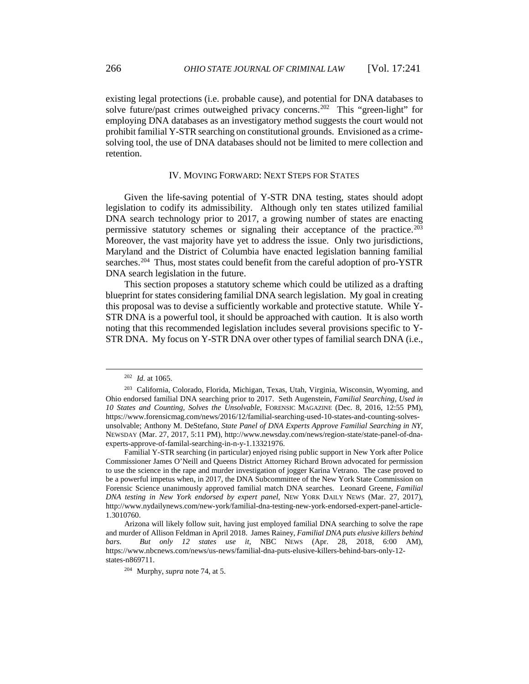existing legal protections (i.e. probable cause), and potential for DNA databases to solve future/past crimes outweighed privacy concerns.<sup>[202](#page-25-0)</sup> This "green-light" for employing DNA databases as an investigatory method suggests the court would not prohibit familial Y-STR searching on constitutional grounds. Envisioned as a crimesolving tool, the use of DNA databases should not be limited to mere collection and retention.

#### IV. MOVING FORWARD: NEXT STEPS FOR STATES

Given the life-saving potential of Y-STR DNA testing, states should adopt legislation to codify its admissibility. Although only ten states utilized familial DNA search technology prior to 2017, a growing number of states are enacting permissive statutory schemes or signaling their acceptance of the practice.<sup>[203](#page-25-1)</sup> Moreover, the vast majority have yet to address the issue. Only two jurisdictions, Maryland and the District of Columbia have enacted legislation banning familial searches.<sup>[204](#page-25-2)</sup> Thus, most states could benefit from the careful adoption of pro-YSTR DNA search legislation in the future.

This section proposes a statutory scheme which could be utilized as a drafting blueprint for states considering familial DNA search legislation. My goal in creating this proposal was to devise a sufficiently workable and protective statute. While Y-STR DNA is a powerful tool, it should be approached with caution. It is also worth noting that this recommended legislation includes several provisions specific to Y-STR DNA. My focus on Y-STR DNA over other types of familial search DNA (i.e.,

 $\overline{a}$ 

Familial Y-STR searching (in particular) enjoyed rising public support in New York after Police Commissioner James O'Neill and Queens District Attorney Richard Brown advocated for permission to use the science in the rape and murder investigation of jogger Karina Vetrano. The case proved to be a powerful impetus when, in 2017, the DNA Subcommittee of the New York State Commission on Forensic Science unanimously approved familial match DNA searches. Leonard Greene, *Familial DNA testing in New York endorsed by expert panel*, NEW YORK DAILY NEWS (Mar. 27, 2017), http://www.nydailynews.com/new-york/familial-dna-testing-new-york-endorsed-expert-panel-article-1.3010760.

<sup>202</sup> *Id.* at 1065.

<span id="page-25-1"></span><span id="page-25-0"></span><sup>203</sup> California, Colorado, Florida, Michigan, Texas, Utah, Virginia, Wisconsin, Wyoming, and Ohio endorsed familial DNA searching prior to 2017. Seth Augenstein, *Familial Searching, Used in 10 States and Counting, Solves the Unsolvable*, FORENSIC MAGAZINE (Dec. 8, 2016, 12:55 PM), https://www.forensicmag.com/news/2016/12/familial-searching-used-10-states-and-counting-solvesunsolvable; Anthony M. DeStefano, *State Panel of DNA Experts Approve Familial Searching in NY*, NEWSDAY (Mar. 27, 2017, 5:11 PM), http://www.newsday.com/news/region-state/state-panel-of-dnaexperts-approve-of-familal-searching-in-n-y-1.13321976.

<span id="page-25-2"></span>Arizona will likely follow suit, having just employed familial DNA searching to solve the rape and murder of Allison Feldman in April 2018. James Rainey, *Familial DNA puts elusive killers behind bars. But only 12 states use it*, NBC NEWS (Apr. 28, 2018, 6:00 AM), https://www.nbcnews.com/news/us-news/familial-dna-puts-elusive-killers-behind-bars-only-12 states-n869711.

<sup>204</sup> Murphy, *supra* note 74, at 5.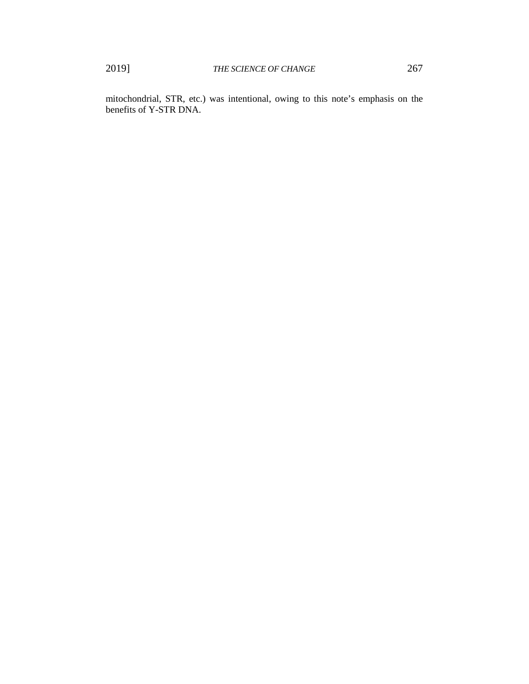mitochondrial, STR, etc.) was intentional, owing to this note's emphasis on the benefits of Y-STR DNA.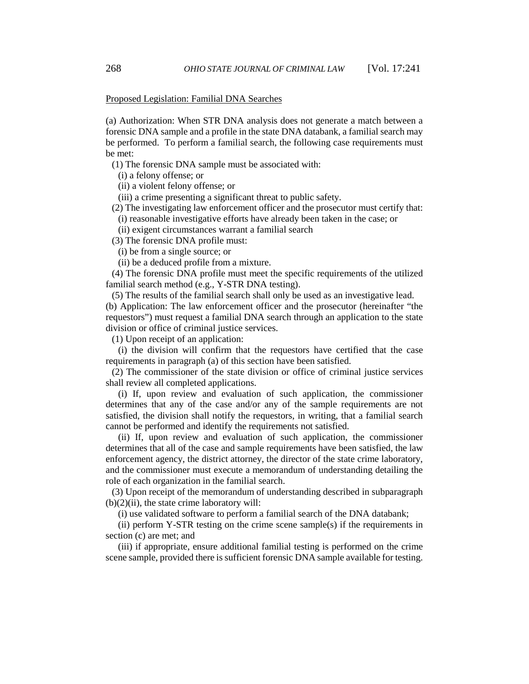### Proposed Legislation: Familial DNA Searches

(a) Authorization: When STR DNA analysis does not generate a match between a forensic DNA sample and a profile in the state DNA databank, a familial search may be performed. To perform a familial search, the following case requirements must be met:

(1) The forensic DNA sample must be associated with:

(i) a felony offense; or

(ii) a violent felony offense; or

(iii) a crime presenting a significant threat to public safety.

(2) The investigating law enforcement officer and the prosecutor must certify that:

(i) reasonable investigative efforts have already been taken in the case; or

(ii) exigent circumstances warrant a familial search

(3) The forensic DNA profile must:

(i) be from a single source; or

(ii) be a deduced profile from a mixture.

(4) The forensic DNA profile must meet the specific requirements of the utilized familial search method (e.g., Y-STR DNA testing).

(5) The results of the familial search shall only be used as an investigative lead.

(b) Application: The law enforcement officer and the prosecutor (hereinafter "the requestors") must request a familial DNA search through an application to the state division or office of criminal justice services.

(1) Upon receipt of an application:

(i) the division will confirm that the requestors have certified that the case requirements in paragraph (a) of this section have been satisfied.

(2) The commissioner of the state division or office of criminal justice services shall review all completed applications.

(i) If, upon review and evaluation of such application, the commissioner determines that any of the case and/or any of the sample requirements are not satisfied, the division shall notify the requestors, in writing, that a familial search cannot be performed and identify the requirements not satisfied.

(ii) If, upon review and evaluation of such application, the commissioner determines that all of the case and sample requirements have been satisfied, the law enforcement agency, the district attorney, the director of the state crime laboratory, and the commissioner must execute a memorandum of understanding detailing the role of each organization in the familial search.

(3) Upon receipt of the memorandum of understanding described in subparagraph  $(b)(2)(ii)$ , the state crime laboratory will:

(i) use validated software to perform a familial search of the DNA databank;

(ii) perform Y-STR testing on the crime scene sample(s) if the requirements in section (c) are met; and

(iii) if appropriate, ensure additional familial testing is performed on the crime scene sample, provided there is sufficient forensic DNA sample available for testing.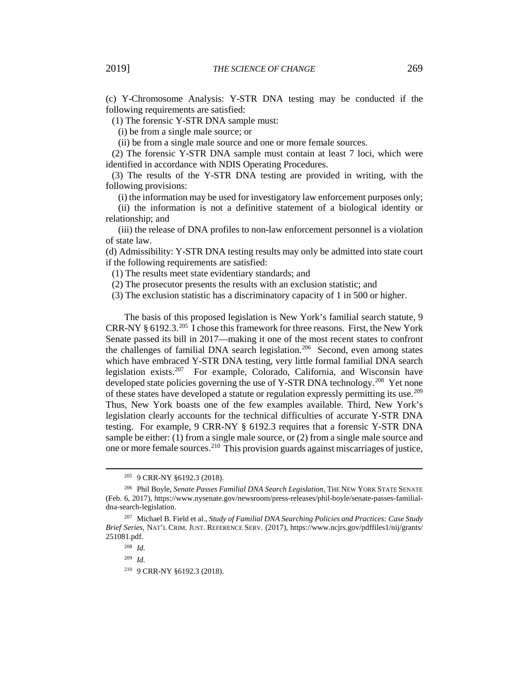(c) Y-Chromosome Analysis: Y-STR DNA testing may be conducted if the following requirements are satisfied:

(1) The forensic Y-STR DNA sample must:

(i) be from a single male source; or

(ii) be from a single male source and one or more female sources.

(2) The forensic Y-STR DNA sample must contain at least 7 loci, which were identified in accordance with NDIS Operating Procedures.

(3) The results of the Y-STR DNA testing are provided in writing, with the following provisions:

(i) the information may be used for investigatory law enforcement purposes only;

(ii) the information is not a definitive statement of a biological identity or relationship; and

(iii) the release of DNA profiles to non-law enforcement personnel is a violation of state law.

(d) Admissibility: Y-STR DNA testing results may only be admitted into state court if the following requirements are satisfied:

(1) The results meet state evidentiary standards; and

(2) The prosecutor presents the results with an exclusion statistic; and

(3) The exclusion statistic has a discriminatory capacity of 1 in 500 or higher.

The basis of this proposed legislation is New York's familial search statute, 9 CRR-NY § 6192.3. [205](#page-28-0) I chose this framework for three reasons. First, the New York Senate passed its bill in 2017—making it one of the most recent states to confront the challenges of familial DNA search legislation.<sup>[206](#page-28-1)</sup> Second, even among states which have embraced Y-STR DNA testing, very little formal familial DNA search legislation exists[.207](#page-28-2) For example, Colorado, California, and Wisconsin have developed state policies governing the use of Y-STR DNA technology.<sup>[208](#page-28-3)</sup> Yet none of these states have developed a statute or regulation expressly permitting its use.[209](#page-28-4) Thus, New York boasts one of the few examples available. Third, New York's legislation clearly accounts for the technical difficulties of accurate Y-STR DNA testing. For example, 9 CRR-NY § 6192.3 requires that a forensic Y-STR DNA sample be either: (1) from a single male source, or (2) from a single male source and one or more female sources.[210](#page-28-5) This provision guards against miscarriages of justice,

<sup>205</sup> 9 CRR-NY §6192.3 (2018).

<span id="page-28-1"></span><span id="page-28-0"></span><sup>206</sup> Phil Boyle, *Senate Passes Familial DNA Search Legislation*, THE NEW YORK STATE SENATE (Feb. 6, 2017), https://www.nysenate.gov/newsroom/press-releases/phil-boyle/senate-passes-familialdna-search-legislation.

<span id="page-28-5"></span><span id="page-28-4"></span><span id="page-28-3"></span><span id="page-28-2"></span><sup>207</sup> Michael B. Field et al., *Study of Familial DNA Searching Policies and Practices: Case Study Brief Series*, NAT'L CRIM. JUST. REFERENCE SERV. (2017), https://www.ncjrs.gov/pdffiles1/nij/grants/ 251081.pdf.

<sup>208</sup> *Id.* 

<sup>209</sup> *Id.* 

<sup>210</sup> 9 CRR-NY §6192.3 (2018).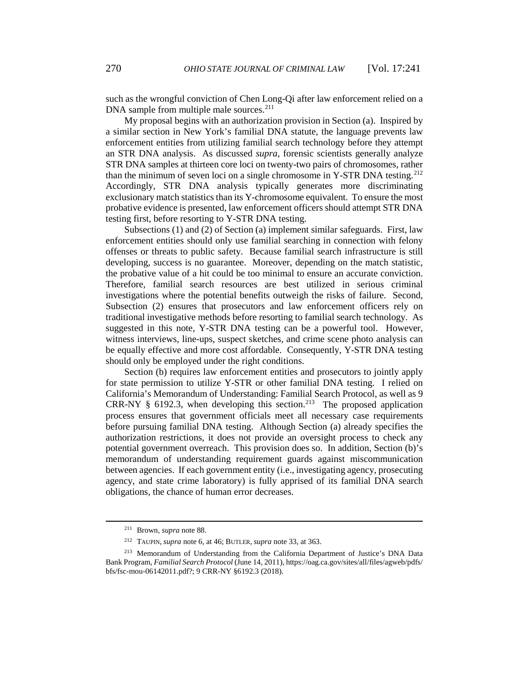such as the wrongful conviction of Chen Long-Qi after law enforcement relied on a DNA sample from multiple male sources.<sup>[211](#page-29-0)</sup>

My proposal begins with an authorization provision in Section (a). Inspired by a similar section in New York's familial DNA statute, the language prevents law enforcement entities from utilizing familial search technology before they attempt an STR DNA analysis. As discussed *supra*, forensic scientists generally analyze STR DNA samples at thirteen core loci on twenty-two pairs of chromosomes, rather than the minimum of seven loci on a single chromosome in Y-STR DNA testing.<sup>[212](#page-29-1)</sup> Accordingly, STR DNA analysis typically generates more discriminating exclusionary match statistics than its Y-chromosome equivalent. To ensure the most probative evidence is presented, law enforcement officers should attempt STR DNA testing first, before resorting to Y-STR DNA testing.

Subsections (1) and (2) of Section (a) implement similar safeguards. First, law enforcement entities should only use familial searching in connection with felony offenses or threats to public safety. Because familial search infrastructure is still developing, success is no guarantee. Moreover, depending on the match statistic, the probative value of a hit could be too minimal to ensure an accurate conviction. Therefore, familial search resources are best utilized in serious criminal investigations where the potential benefits outweigh the risks of failure. Second, Subsection (2) ensures that prosecutors and law enforcement officers rely on traditional investigative methods before resorting to familial search technology. As suggested in this note, Y-STR DNA testing can be a powerful tool. However, witness interviews, line-ups, suspect sketches, and crime scene photo analysis can be equally effective and more cost affordable. Consequently, Y-STR DNA testing should only be employed under the right conditions.

Section (b) requires law enforcement entities and prosecutors to jointly apply for state permission to utilize Y-STR or other familial DNA testing. I relied on California's Memorandum of Understanding: Familial Search Protocol, as well as 9 CRR-NY  $\S$  6192.3, when developing this section.<sup>[213](#page-29-2)</sup> The proposed application process ensures that government officials meet all necessary case requirements before pursuing familial DNA testing. Although Section (a) already specifies the authorization restrictions, it does not provide an oversight process to check any potential government overreach. This provision does so. In addition, Section (b)'s memorandum of understanding requirement guards against miscommunication between agencies. If each government entity (i.e., investigating agency, prosecuting agency, and state crime laboratory) is fully apprised of its familial DNA search obligations, the chance of human error decreases.

<sup>211</sup> Brown*, supra* note 88.

<sup>212</sup> TAUPIN, *supra* note 6, at 46; BUTLER, *supra* note 33, at 363.

<span id="page-29-2"></span><span id="page-29-1"></span><span id="page-29-0"></span><sup>213</sup> Memorandum of Understanding from the California Department of Justice's DNA Data Bank Program, *Familial Search Protocol* (June 14, 2011), https://oag.ca.gov/sites/all/files/agweb/pdfs/ bfs/fsc-mou-06142011.pdf?; 9 CRR-NY §6192.3 (2018).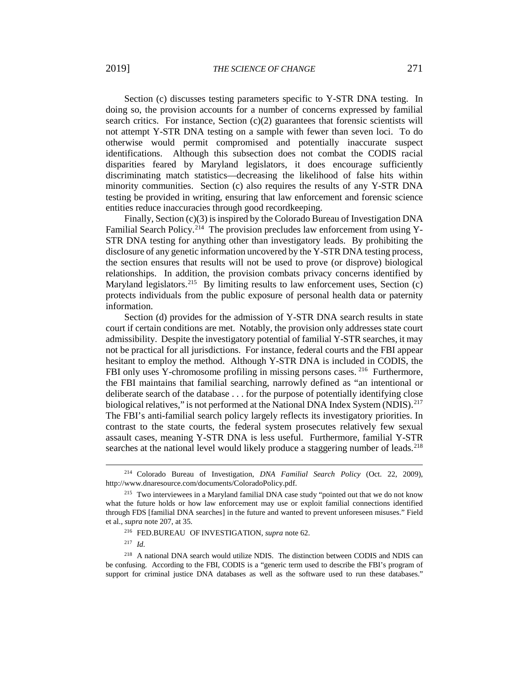Section (c) discusses testing parameters specific to Y-STR DNA testing. In doing so, the provision accounts for a number of concerns expressed by familial search critics. For instance, Section (c)(2) guarantees that forensic scientists will not attempt Y-STR DNA testing on a sample with fewer than seven loci. To do otherwise would permit compromised and potentially inaccurate suspect identifications. Although this subsection does not combat the CODIS racial disparities feared by Maryland legislators, it does encourage sufficiently discriminating match statistics—decreasing the likelihood of false hits within minority communities. Section (c) also requires the results of any Y-STR DNA testing be provided in writing, ensuring that law enforcement and forensic science entities reduce inaccuracies through good recordkeeping.

Finally, Section (c)(3) is inspired by the Colorado Bureau of Investigation DNA Familial Search Policy.<sup>[214](#page-30-0)</sup> The provision precludes law enforcement from using Y-STR DNA testing for anything other than investigatory leads. By prohibiting the disclosure of any genetic information uncovered by the Y-STR DNA testing process, the section ensures that results will not be used to prove (or disprove) biological relationships. In addition, the provision combats privacy concerns identified by Maryland legislators.<sup>[215](#page-30-1)</sup> By limiting results to law enforcement uses, Section  $(c)$ protects individuals from the public exposure of personal health data or paternity information.

Section (d) provides for the admission of Y-STR DNA search results in state court if certain conditions are met. Notably, the provision only addresses state court admissibility. Despite the investigatory potential of familial Y-STR searches, it may not be practical for all jurisdictions. For instance, federal courts and the FBI appear hesitant to employ the method. Although Y-STR DNA is included in CODIS, the FBI only uses Y-chromosome profiling in missing persons cases. <sup>[216](#page-30-2)</sup> Furthermore, the FBI maintains that familial searching, narrowly defined as "an intentional or deliberate search of the database . . . for the purpose of potentially identifying close biological relatives," is not performed at the National DNA Index System (NDIS).<sup>[217](#page-30-3)</sup> The FBI's anti-familial search policy largely reflects its investigatory priorities. In contrast to the state courts, the federal system prosecutes relatively few sexual assault cases, meaning Y-STR DNA is less useful. Furthermore, familial Y-STR searches at the national level would likely produce a staggering number of leads.<sup>[218](#page-30-4)</sup>

<sup>217</sup> *Id.*

l

<span id="page-30-0"></span><sup>214</sup> Colorado Bureau of Investigation, *DNA Familial Search Policy* (Oct. 22, 2009), http://www.dnaresource.com/documents/ColoradoPolicy.pdf.

<span id="page-30-1"></span><sup>&</sup>lt;sup>215</sup> Two interviewees in a Maryland familial DNA case study "pointed out that we do not know what the future holds or how law enforcement may use or exploit familial connections identified through FDS [familial DNA searches] in the future and wanted to prevent unforeseen misuses." Field et al.*, supra* note 207, at 35.

<sup>216</sup> FED.BUREAU OF INVESTIGATION, *supra* note 62.

<span id="page-30-4"></span><span id="page-30-3"></span><span id="page-30-2"></span><sup>218</sup> A national DNA search would utilize NDIS. The distinction between CODIS and NDIS can be confusing. According to the FBI, CODIS is a "generic term used to describe the FBI's program of support for criminal justice DNA databases as well as the software used to run these databases."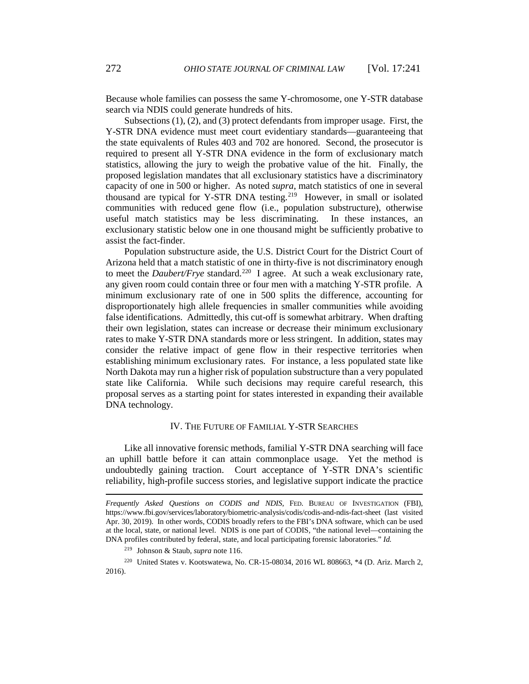Because whole families can possess the same Y-chromosome, one Y-STR database search via NDIS could generate hundreds of hits.

Subsections (1), (2), and (3) protect defendants from improper usage. First, the Y-STR DNA evidence must meet court evidentiary standards—guaranteeing that the state equivalents of Rules 403 and 702 are honored. Second, the prosecutor is required to present all Y-STR DNA evidence in the form of exclusionary match statistics, allowing the jury to weigh the probative value of the hit. Finally, the proposed legislation mandates that all exclusionary statistics have a discriminatory capacity of one in 500 or higher. As noted *supra*, match statistics of one in several thousand are typical for Y-STR DNA testing.<sup>[219](#page-31-0)</sup> However, in small or isolated communities with reduced gene flow (i.e., population substructure), otherwise useful match statistics may be less discriminating. In these instances, an exclusionary statistic below one in one thousand might be sufficiently probative to assist the fact-finder.

Population substructure aside, the U.S. District Court for the District Court of Arizona held that a match statistic of one in thirty-five is not discriminatory enough to meet the *Daubert/Frye* standard.<sup>[220](#page-31-1)</sup> I agree. At such a weak exclusionary rate, any given room could contain three or four men with a matching Y-STR profile. A minimum exclusionary rate of one in 500 splits the difference, accounting for disproportionately high allele frequencies in smaller communities while avoiding false identifications. Admittedly, this cut-off is somewhat arbitrary. When drafting their own legislation, states can increase or decrease their minimum exclusionary rates to make Y-STR DNA standards more or less stringent. In addition, states may consider the relative impact of gene flow in their respective territories when establishing minimum exclusionary rates. For instance, a less populated state like North Dakota may run a higher risk of population substructure than a very populated state like California. While such decisions may require careful research, this proposal serves as a starting point for states interested in expanding their available DNA technology.

## IV. THE FUTURE OF FAMILIAL Y-STR SEARCHES

Like all innovative forensic methods, familial Y-STR DNA searching will face an uphill battle before it can attain commonplace usage. Yet the method is undoubtedly gaining traction. Court acceptance of Y-STR DNA's scientific reliability, high-profile success stories, and legislative support indicate the practice

*Frequently Asked Questions on CODIS and NDIS*, FED. BUREAU OF INVESTIGATION (FBI), https://www.fbi.gov/services/laboratory/biometric-analysis/codis/codis-and-ndis-fact-sheet (last visited Apr. 30, 2019). In other words, CODIS broadly refers to the FBI's DNA software, which can be used at the local, state, or national level. NDIS is one part of CODIS, "the national level—containing the DNA profiles contributed by federal, state, and local participating forensic laboratories." *Id.*

<sup>219</sup> Johnson & Staub, *supra* note 116.

<span id="page-31-1"></span><span id="page-31-0"></span><sup>220</sup> United States v. Kootswatewa, No. CR-15-08034, 2016 WL 808663, \*4 (D. Ariz. March 2, 2016).